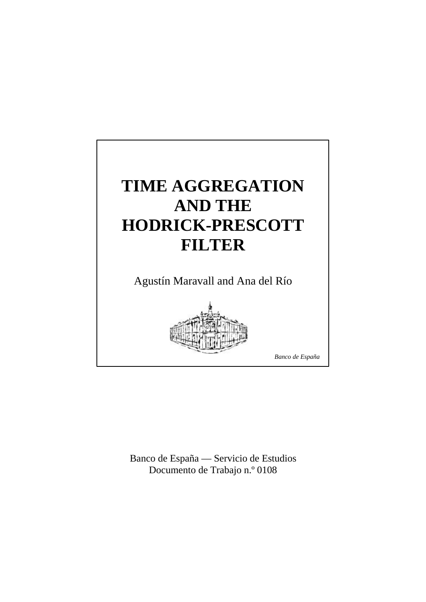

Banco de España — Servicio de Estudios Documento de Trabajo n.º 0108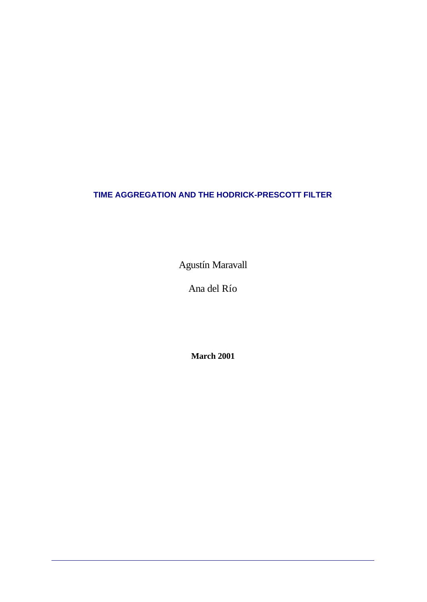# **TIME AGGREGATION AND THE HODRICK-PRESCOTT FILTER**

Agustín Maravall

Ana del Río

**March 2001**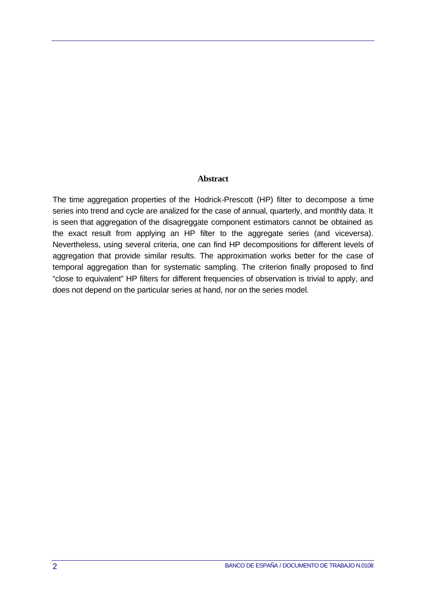### **Abstract**

The time aggregation properties of the Hodrick-Prescott (HP) filter to decompose a time series into trend and cycle are analized for the case of annual, quarterly, and monthly data. It is seen that aggregation of the disagreggate component estimators cannot be obtained as the exact result from applying an HP filter to the aggregate series (and viceversa). Nevertheless, using several criteria, one can find HP decompositions for different levels of aggregation that provide similar results. The approximation works better for the case of temporal aggregation than for systematic sampling. The criterion finally proposed to find "close to equivalent" HP filters for different frequencies of observation is trivial to apply, and does not depend on the particular series at hand, nor on the series model.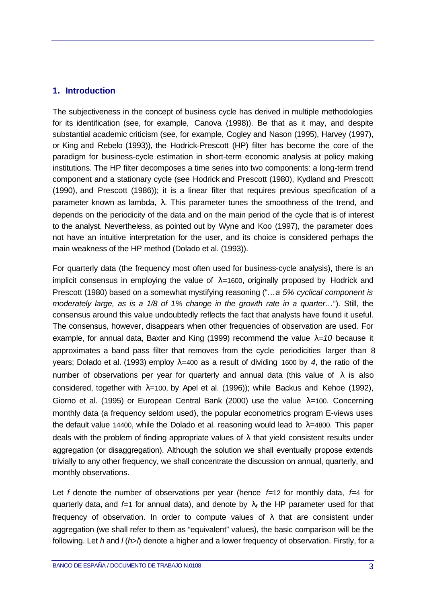## **1. Introduction**

The subjectiveness in the concept of business cycle has derived in multiple methodologies for its identification (see, for example, Canova (1998)). Be that as it may, and despite substantial academic criticism (see, for example, Cogley and Nason (1995), Harvey (1997), or King and Rebelo (1993)), the Hodrick-Prescott (HP) filter has become the core of the paradigm for business-cycle estimation in short-term economic analysis at policy making institutions. The HP filter decomposes a time series into two components: a long-term trend component and a stationary cycle (see Hodrick and Prescott (1980), Kydland and Prescott (1990), and Prescott (1986)); it is a linear filter that requires previous specification of a parameter known as lambda,  $\lambda$ . This parameter tunes the smoothness of the trend, and depends on the periodicity of the data and on the main period of the cycle that is of interest to the analyst. Nevertheless, as pointed out by Wyne and Koo (1997), the parameter does not have an intuitive interpretation for the user, and its choice is considered perhaps the main weakness of the HP method (Dolado et al. (1993)).

For quarterly data (the frequency most often used for business-cycle analysis), there is an implicit consensus in employing the value of λ*=*1600, originally proposed by Hodrick and Prescott (1980) based on a somewhat mystifying reasoning ("*…a 5% cyclical component is moderately large, as is a 1/8 of 1% change in the growth rate in a quarter…*"). Still, the consensus around this value undoubtedly reflects the fact that analysts have found it useful. The consensus, however, disappears when other frequencies of observation are used. For example, for annual data, Baxter and King (1999) recommend the value λ*=10* because it approximates a band pass filter that removes from the cycle periodicities larger than 8 years; Dolado et al. (1993) employ λ*=*400 as a result of dividing 1600 by *4*, the ratio of the number of observations per year for quarterly and annual data (this value of  $\lambda$  is also considered, together with  $\lambda$ =100, by Apel et al. (1996)); while Backus and Kehoe (1992), Giorno et al. (1995) or European Central Bank (2000) use the value λ*=*100. Concerning monthly data (a frequency seldom used), the popular econometrics program E-views uses the default value 14400, while the Dolado et al. reasoning would lead to λ*=*4800. This paper deals with the problem of finding appropriate values of  $\lambda$  that yield consistent results under aggregation (or disaggregation). Although the solution we shall eventually propose extends trivially to any other frequency, we shall concentrate the discussion on annual, quarterly, and monthly observations.

Let *f* denote the number of observations per year (hence *f=*12 for monthly data, *f=*4 for quarterly data, and  $f=1$  for annual data), and denote by  $\lambda_f$  the HP parameter used for that frequency of observation. In order to compute values of  $\lambda$  that are consistent under aggregation (we shall refer to them as "equivalent" values), the basic comparison will be the following. Let *h* and *l* (*h*>*l*) denote a higher and a lower frequency of observation. Firstly, for a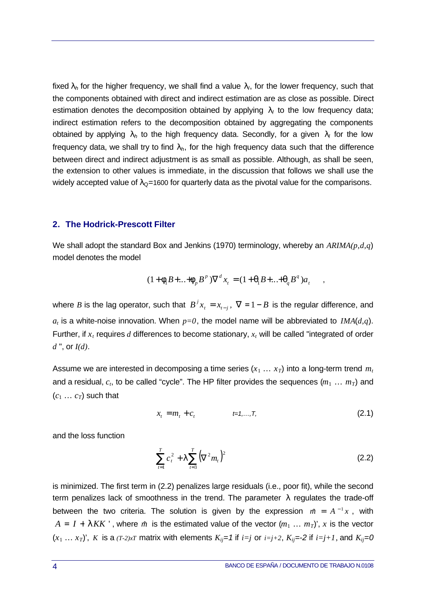fixed  $\lambda_h$  for the higher frequency, we shall find a value  $\lambda_l$ , for the lower frequency, such that the components obtained with direct and indirect estimation are as close as possible. Direct estimation denotes the decomposition obtained by applying  $\lambda_l$  to the low frequency data; indirect estimation refers to the decomposition obtained by aggregating the components obtained by applying λ*h* to the high frequency data. Secondly, for a given λ*l* for the low frequency data, we shall try to find  $\lambda_h$ , for the high frequency data such that the difference between direct and indirect adjustment is as small as possible. Although, as shall be seen, the extension to other values is immediate, in the discussion that follows we shall use the widely accepted value of  $\lambda_{\mathbf{Q}}$ =1600 for quarterly data as the pivotal value for the comparisons.

### **2. The Hodrick-Prescott Filter**

We shall adopt the standard Box and Jenkins (1970) terminology, whereby an *ARIMA(p,d,q*) model denotes the model

$$
(1 + \mathbf{f}_1 B + \dots + \mathbf{f}_p B^p) \nabla^d x_t = (1 + \mathbf{q}_1 B + \dots + \mathbf{q}_q B^q) a_t
$$

where *B* is the lag operator, such that  $B^j x_i = x_{i-j}$ ,  $\nabla = 1-B$  is the regular difference, and  $a_t$  is a white-noise innovation. When  $p=0$ , the model name will be abbreviated to *IMA*(*d,q*). Further, if *xt* requires *d* differences to become stationary, *xt* will be called "integrated of order *d* ", or *I(d)*.

Assume we are interested in decomposing a time series  $(x_1 \ldots x_T)$  into a long-term trend  $m_t$ and a residual,  $c_t$ , to be called "cycle". The HP filter provides the sequences  $(m_1 \ldots m_T)$  and  $(c_1 \ldots c_T)$  such that

$$
x_t = m_t + c_t \t\t t = 1,...,T,
$$
\t(2.1)

and the loss function

$$
\sum_{t=1}^{T} c_t^2 + I \sum_{t=3}^{T} (\nabla^2 m_t)^2
$$
 (2.2)

is minimized. The first term in (2.2) penalizes large residuals (i.e., poor fit), while the second term penalizes lack of smoothness in the trend. The parameter  $\lambda$  regulates the trade-off between the two criteria. The solution is given by the expression  $m = A^{-1}x$ , with  $A = I + I K K'$ , where  $\hat{m}$  is the estimated value of the vector  $(m_1 ... m_T)'$ , x is the vector  $(x_1 \ldots x_T)$ , *K* is a  $(T-2)xT$  matrix with elements  $K_{ij}=1$  if  $i=j$  or  $i=j+2$ ,  $K_{ij}=2$  if  $i=j+1$ , and  $K_{ij}=0$ 

,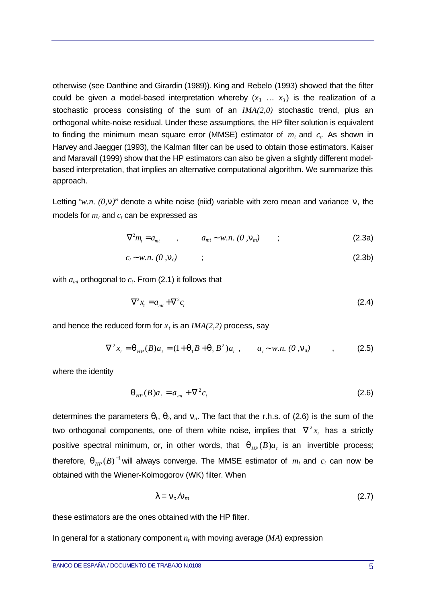otherwise (see Danthine and Girardin (1989)). King and Rebelo (1993) showed that the filter could be given a model-based interpretation whereby  $(x_1 \ldots x_T)$  is the realization of a stochastic process consisting of the sum of an *IMA(2,0)* stochastic trend, plus an orthogonal white-noise residual. Under these assumptions, the HP filter solution is equivalent to finding the minimum mean square error (MMSE) estimator of *mt* and *ct*. As shown in Harvey and Jaegger (1993), the Kalman filter can be used to obtain those estimators. Kaiser and Maravall (1999) show that the HP estimators can also be given a slightly different modelbased interpretation, that implies an alternative computational algorithm. We summarize this approach.

Letting "*w.n. (0,n)*" denote a white noise (niid) variable with zero mean and variance *n*, the models for  $m_t$  and  $c_t$  can be expressed as

$$
\nabla^2 m_t = a_{mt} \qquad , \qquad a_{mt} \sim w.n. \ (0 \ , \mathbf{n}_m) \qquad ; \tag{2.3a}
$$

$$
c_t \sim w.n. \ (0, \mathbf{n}_c) \tag{2.3b}
$$

with *amt* orthogonal to *ct*. From (2.1) it follows that

$$
\nabla^2 x_t = a_{mt} + \nabla^2 c_t \tag{2.4}
$$

and hence the reduced form for  $x_t$  is an  $IMA(2,2)$  process, say

$$
\nabla^2 x_t = \mathbf{q}_{HP}(B) a_t = (1 + \mathbf{q}_1 B + \mathbf{q}_2 B^2) a_t , \qquad a_t \sim w.n. (0, \mathbf{n}_a) , \qquad (2.5)
$$

where the identity

$$
\boldsymbol{q}_{HP}(B)a_t = a_{mt} + \nabla^2 c_t \tag{2.6}
$$

determines the parameters  $q_1$ ,  $q_2$ , and  $n_a$ . The fact that the r.h.s. of (2.6) is the sum of the two orthogonal components, one of them white noise, implies that  $\,\nabla^{\,2} x_{_t}\,$  has a strictly positive spectral minimum, or, in other words, that  $q_{\mu\nu}(B)a_{\tau}$  is an invertible process; therefore,  $\boldsymbol{q}_{\scriptscriptstyle{ HP}}(B)^{-1}$  will always converge. The MMSE estimator of  $\,m_{\scriptscriptstyle{t}}$  and  $\,c_{\scriptscriptstyle{t}}$  can now be obtained with the Wiener-Kolmogorov (WK) filter. When

$$
\lambda = n_c / n_m \tag{2.7}
$$

these estimators are the ones obtained with the HP filter.

In general for a stationary component  $n_t$  with moving average  $(MA)$  expression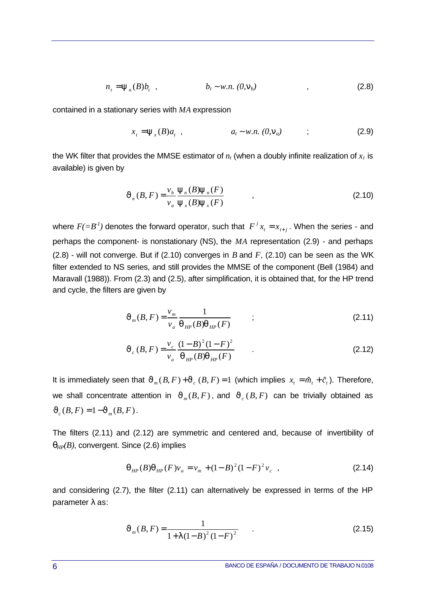$$
n_{t} = \mathbf{y}_{n}(B)b_{t}, \qquad b_{t} \sim w.n. (0, \mathbf{n}_{b}) \qquad , \qquad (2.8)
$$

contained in a stationary series with *MA* expression

$$
x_t = \mathbf{y}_x(B)a_t , \qquad a_t \sim w.n. (0, \mathbf{n}_a) ; \qquad (2.9)
$$

the WK filter that provides the MMSE estimator of  $n_t$  (when a doubly infinite realization of  $x_t$  is available) is given by

$$
\mathbf{J}_n(B, F) = \frac{\nu_b}{\nu_a} \frac{\mathbf{y}_n(B) \mathbf{y}_n(F)}{\mathbf{y}_x(B) \mathbf{y}_x(F)} \tag{2.10}
$$

where  $F(=B^I)$  denotes the forward operator, such that  $\overline{F}^J x_i = x_{i+j}$ . When the series - and perhaps the component- is nonstationary (NS), the *MA* representation (2.9) - and perhaps (2.8) - will not converge. But if (2.10) converges in *B* and *F*, (2.10) can be seen as the WK filter extended to NS series, and still provides the MMSE of the component (Bell (1984) and Maravall (1988)). From (2.3) and (2.5), after simplification, it is obtained that, for the HP trend and cycle, the filters are given by

$$
J_{m}(B, F) = \frac{v_{m}}{v_{a}} \frac{1}{\mathbf{q}_{HP}(B)\mathbf{q}_{HP}(F)} \qquad ; \qquad (2.11)
$$

$$
J_c(B, F) = \frac{v_c}{v_a} \frac{(1 - B)^2 (1 - F)^2}{q_{HP}(B) q_{HP}(F)}
$$
 (2.12)

It is immediately seen that  $J_m(B, F) + J_c(B, F) = 1$  (which implies  $x_t = \hat{m}_t + \hat{c}_t$ ). Therefore, we shall concentrate attention in  $J_m(B, F)$ , and  $J_c(B, F)$  can be trivially obtained as  $J_c(B, F) = 1 - J_m(B, F)$ .

The filters (2.11) and (2.12) are symmetric and centered and, because of invertibility of *qHP(B)*, convergent. Since (2.6) implies

$$
\boldsymbol{q}_{HP}(B)\boldsymbol{q}_{HP}(F)v_{a} = v_{m} + (1 - B)^{2}(1 - F)^{2}v_{c} , \qquad (2.14)
$$

and considering (2.7), the filter (2.11) can alternatively be expressed in terms of the HP parameter λ as:

$$
J_m(B, F) = \frac{1}{1 + I(1 - B)^2 (1 - F)^2}
$$
 (2.15)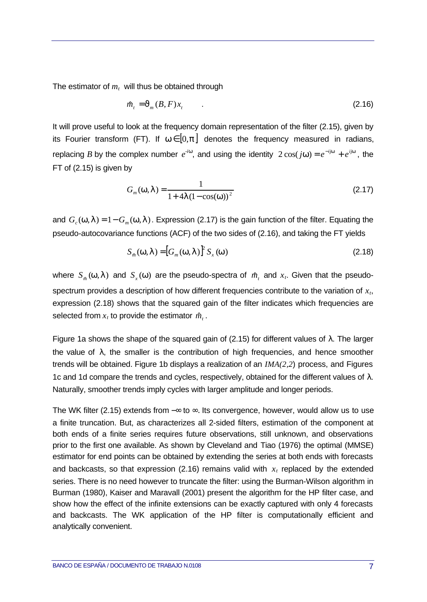The estimator of *mt* will thus be obtained through

$$
\hat{m}_t = \mathbf{J}_m(B, F)x_t \tag{2.16}
$$

It will prove useful to look at the frequency domain representation of the filter (2.15), given by its Fourier transform (FT). If  $w \in [0, p]$  denotes the frequency measured in radians, replacing *B* by the complex number  $e^{-i\mathbf{w}}$ , and using the identity  $2\cos(j\mathbf{w}) = e^{-ij\mathbf{w}} + e^{ij\mathbf{w}}$ , the FT of (2.15) is given by

$$
G_m(\mathbf{w}, \mathbf{I}) = \frac{1}{1 + 4\mathbf{I} (1 - \cos(\mathbf{w}))^2}
$$
 (2.17)

and  $G_c(\textbf{\textit{w}},\textbf{\textit{I}})=1\!-\!G_m(\textbf{\textit{w}},\textbf{\textit{I}})$ . Expression (2.17) is the gain function of the filter. Equating the pseudo-autocovariance functions (ACF) of the two sides of (2.16), and taking the FT yields

$$
S_m(\mathbf{w}, \mathbf{I}) = [G_m(\mathbf{w}, \mathbf{I})]^2 S_x(\mathbf{w})
$$
\n(2.18)

where  $S_m(\textbf{w}, \textbf{\textit{I}})$  and  $S_x(\textbf{w})$  are the pseudo-spectra of  $\hat{m}_t$  and  $x_t$ . Given that the pseudospectrum provides a description of how different frequencies contribute to the variation of *xt*, expression (2.18) shows that the squared gain of the filter indicates which frequencies are selected from  $x_t$  to provide the estimator  $\hat{m}_t$ .

Figure 1a shows the shape of the squared gain of (2.15) for different values of  $λ$ . The larger the value of  $\lambda$ , the smaller is the contribution of high frequencies, and hence smoother trends will be obtained. Figure 1b displays a realization of an *IMA(2,2*) process, and Figures 1c and 1d compare the trends and cycles, respectively, obtained for the different values of  $\lambda$ . Naturally, smoother trends imply cycles with larger amplitude and longer periods.

The WK filter (2.15) extends from −∞ to ∞. Its convergence, however, would allow us to use a finite truncation. But, as characterizes all 2-sided filters, estimation of the component at both ends of a finite series requires future observations, still unknown, and observations prior to the first one available. As shown by Cleveland and Tiao (1976) the optimal (MMSE) estimator for end points can be obtained by extending the series at both ends with forecasts and backcasts, so that expression (2.16) remains valid with  $x<sub>t</sub>$  replaced by the extended series. There is no need however to truncate the filter: using the Burman-Wilson algorithm in Burman (1980), Kaiser and Maravall (2001) present the algorithm for the HP filter case, and show how the effect of the infinite extensions can be exactly captured with only 4 forecasts and backcasts. The WK application of the HP filter is computationally efficient and analytically convenient.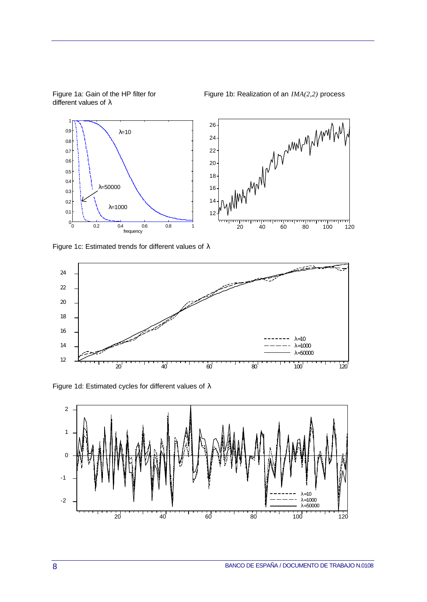

different values of λ

Figure 1a: Gain of the HP filter for Figure 1b: Realization of an *IMA(2,2)* process

Figure 1c: Estimated trends for different values of  $\lambda$ 



Figure 1d: Estimated cycles for different values of λ

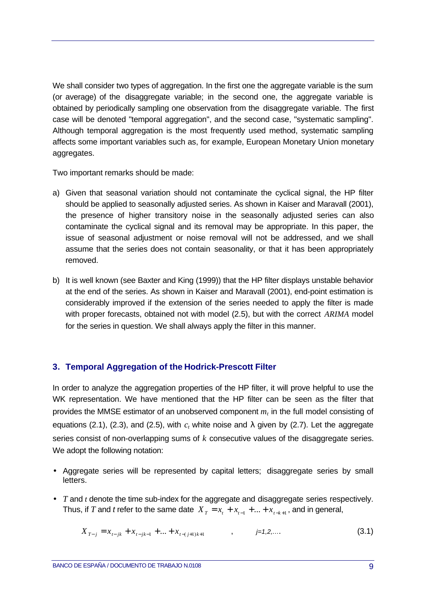We shall consider two types of aggregation. In the first one the aggregate variable is the sum (or average) of the disaggregate variable; in the second one, the aggregate variable is obtained by periodically sampling one observation from the disaggregate variable. The first case will be denoted "temporal aggregation", and the second case, "systematic sampling". Although temporal aggregation is the most frequently used method, systematic sampling affects some important variables such as, for example, European Monetary Union monetary aggregates.

Two important remarks should be made:

- a) Given that seasonal variation should not contaminate the cyclical signal, the HP filter should be applied to seasonally adjusted series. As shown in Kaiser and Maravall (2001), the presence of higher transitory noise in the seasonally adjusted series can also contaminate the cyclical signal and its removal may be appropriate. In this paper, the issue of seasonal adjustment or noise removal will not be addressed, and we shall assume that the series does not contain seasonality, or that it has been appropriately removed.
- b) It is well known (see Baxter and King (1999)) that the HP filter displays unstable behavior at the end of the series. As shown in Kaiser and Maravall (2001), end-point estimation is considerably improved if the extension of the series needed to apply the filter is made with proper forecasts, obtained not with model (2.5), but with the correct *ARIMA* model for the series in question. We shall always apply the filter in this manner.

## **3. Temporal Aggregation of the Hodrick-Prescott Filter**

In order to analyze the aggregation properties of the HP filter, it will prove helpful to use the WK representation. We have mentioned that the HP filter can be seen as the filter that provides the MMSE estimator of an unobserved component *mt* in the full model consisting of equations (2.1), (2.3), and (2.5), with  $c_t$  white noise and  $\lambda$  given by (2.7). Let the aggregate series consist of non-overlapping sums of *k* consecutive values of the disaggregate series. We adopt the following notation:

- Aggregate series will be represented by capital letters; disaggregate series by small letters.
- *T* and *t* denote the time sub-index for the aggregate and disaggregate series respectively. Thus, if *T* and *t* refer to the same date  $X_T = x_t + x_{t-1} + ... + x_{t-k+1}$ , and in general,

$$
X_{T-j} = x_{t-jk} + x_{t-jk-1} + \dots + x_{t-(j+1)k+1} \qquad , \qquad j=1,2,\dots \tag{3.1}
$$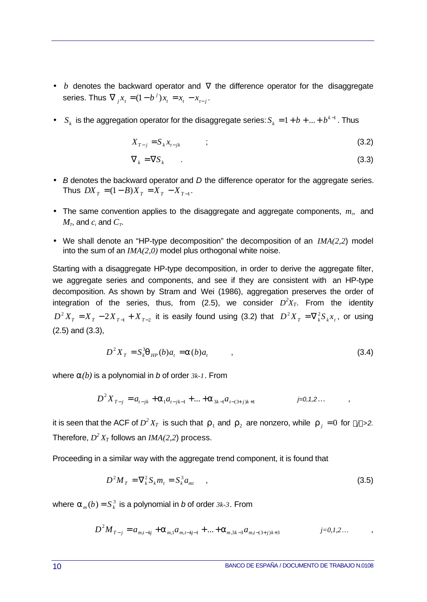- *b* denotes the backward operator and  $\nabla$  the difference operator for the disaggregate series. Thus  $\nabla_j x_t = (1-b^j)x_t = x_t - x_{t-j}$  $\nabla_j x_i = (1 - b^j) x_i = x_i - x_{i-j}.$
- $S_k$  is the aggregation operator for the disaggregate series:  $S_k = 1 + b + ... + b^{k-1}$  $S_k = 1 + b + ... + b^{k-1}$ . Thus

$$
X_{T-j} = S_k x_{t-jk} \tag{3.2}
$$

$$
\nabla_k = \nabla S_k \tag{3.3}
$$

- *B* denotes the backward operator and *D* the difference operator for the aggregate series. Thus  $DX_T = (1 - B)X_T = X_T - X_{T-1}$ .
- The same convention applies to the disaggregate and aggregate components,  $m<sub>t</sub>$ , and  $M_T$ , and  $c_t$  and  $C_T$ .
- We shall denote an "HP-type decomposition" the decomposition of an *IMA(2,2*) model into the sum of an *IMA(2,0)* model plus orthogonal white noise.

Starting with a disaggregate HP-type decomposition, in order to derive the aggregate filter, we aggregate series and components, and see if they are consistent with an HP-type decomposition. As shown by Stram and Wei (1986), aggregation preserves the order of integration of the series, thus, from (2.5), we consider  $D^2X_T$ . From the identity  $D^2 X_T = X_T - 2X_{T-1} + X_{T-2}$  it is easily found using (3.2) that  $D^2 X_T = \nabla_k^2 S_k x_t$ , or using (2.5) and (3.3),

$$
D^2 X_T = S_k^3 \mathbf{q}_{HP}(b) a_t = \mathbf{a}(b) a_t, \qquad (3.4)
$$

where *a(b)* is a polynomial in *b* of order *3k-1*. From

$$
D^{2}X_{T-j} = a_{t-jk} + a_{1}a_{t-jk-1} + ... + a_{3k-1}a_{t-(3+j)k+1} \qquad j=0,1,2...
$$

it is seen that the ACF of  $D^2X_T$  is such that  $\bm{r}_1$  and  $\bm{r}_2$  are nonzero, while  $\bm{r}_j = 0$  for  $|j|$ >2. Therefore,  $D^2 X_T$  follows an  $IMA(2,2)$  process.

Proceeding in a similar way with the aggregate trend component, it is found that

$$
D^2 M_T = \nabla_k^2 S_k m_t = S_k^3 a_{mt} \qquad , \qquad (3.5)
$$

where  $\boldsymbol{a}_{_m}(b)$  =  $\boldsymbol{S}_{k}^{_3}$  is a polynomial in  $b$  of order  $3k$ -3. From

$$
D^{2}M_{T-j} = a_{m,t-kj} + a_{m,1}a_{m,t-kj-1} + ... + a_{m,3k-3}a_{m,t-(3+j)k+3} \qquad j=0,1,2...
$$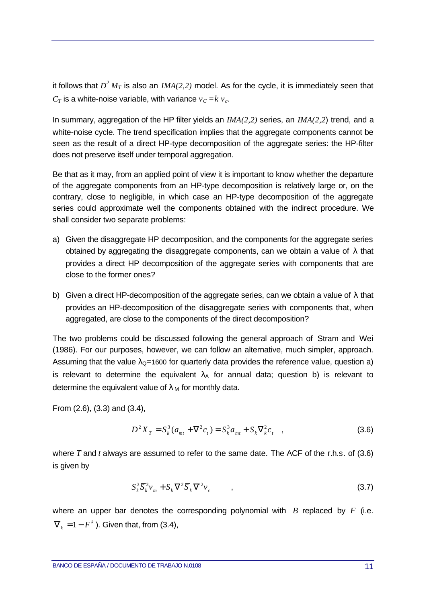it follows that  $D^2 \, M_T$  is also an  $\mathit{IMA}(2,2)$  model. As for the cycle, it is immediately seen that  $C_T$  is a white-noise variable, with variance  $v_C = k v_c$ .

In summary, aggregation of the HP filter yields an *IMA(2,2)* series, an *IMA(2,2*) trend, and a white-noise cycle. The trend specification implies that the aggregate components cannot be seen as the result of a direct HP-type decomposition of the aggregate series: the HP-filter does not preserve itself under temporal aggregation.

Be that as it may, from an applied point of view it is important to know whether the departure of the aggregate components from an HP-type decomposition is relatively large or, on the contrary, close to negligible, in which case an HP-type decomposition of the aggregate series could approximate well the components obtained with the indirect procedure. We shall consider two separate problems:

- a) Given the disaggregate HP decomposition, and the components for the aggregate series obtained by aggregating the disaggregate components, can we obtain a value of  $\lambda$  that provides a direct HP decomposition of the aggregate series with components that are close to the former ones?
- b) Given a direct HP-decomposition of the aggregate series, can we obtain a value of  $\lambda$  that provides an HP-decomposition of the disaggregate series with components that, when aggregated, are close to the components of the direct decomposition?

The two problems could be discussed following the general approach of Stram and Wei (1986). For our purposes, however, we can follow an alternative, much simpler, approach. Assuming that the value  $\lambda_{\Omega}$ =1600 for quarterly data provides the reference value, question a) is relevant to determine the equivalent  $\lambda_A$  for annual data; question b) is relevant to determine the equivalent value of  $\lambda_M$  for monthly data.

From (2.6), (3.3) and (3.4),

$$
D^{2}X_{T} = S_{k}^{3}(a_{mt} + \nabla^{2}c_{t}) = S_{k}^{3}a_{mt} + S_{k}\nabla^{2}_{k}c_{t} , \qquad (3.6)
$$

where *T* and *t* always are assumed to refer to the same date. The ACF of the r.h.s. of (3.6) is given by

$$
S_k^3 \overline{S}_k^3 v_m + S_k \nabla^2 \overline{S}_k \nabla^2 v_c , \qquad , \qquad (3.7)
$$

where an upper bar denotes the corresponding polynomial with *B* replaced by *F* (i.e.  $\nabla<sub>k</sub> = 1 - F<sup>k</sup>$ ). Given that, from (3.4),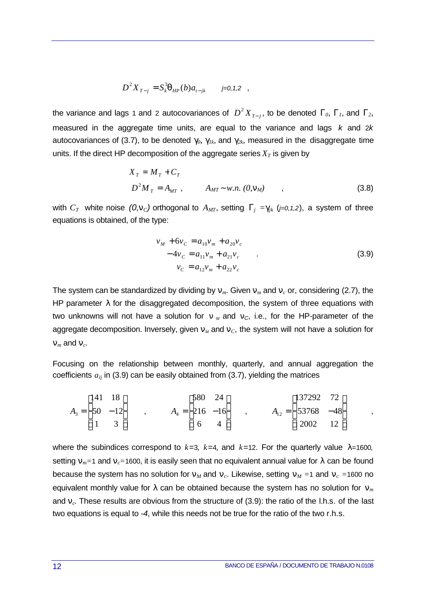$$
D^2 X_{T-j} = S_k^3 \mathbf{q}_{HP}(b) a_{t-jk} \qquad j=0,1,2 \quad ,
$$

the variance and lags 1 and 2 autocovariances of  $D^2 X_{T-j}$ − , to be denoted *G0*, *G1*, and *G2*, measured in the aggregate time units, are equal to the variance and lags *k* and 2*k* autocovariances of (3.7), to be denoted  $g_0$ ,  $g_{1k}$ , and  $g_{2k}$ , measured in the disaggregate time units. If the direct HP decomposition of the aggregate series  $X_T$  is given by

$$
X_T = M_T + C_T
$$
  
\n
$$
D^2 M_T = A_{MT}, \qquad A_{MT} \sim w.n. (0, \mathbf{n}_M)
$$
 (3.8)

with  $C_T$  white noise  $(0,n_C)$  orthogonal to  $A_{MT}$ , setting  $G_i = g_{ik}$  (*j*=0,1,2), a system of three equations is obtained, of the type:

$$
v_M + 6v_C = a_{10}v_m + a_{20}v_c
$$
  
-4v\_C = a\_{11}v\_m + a\_{21}v\_c  

$$
v_C = a_{12}v_m + a_{22}v_c
$$
 (3.9)

The system can be standardized by dividing by  $n_m$ . Given  $n_m$  and  $n_c$  or, considering (2.7), the HP parameter  $\lambda$  for the disaggregated decomposition, the system of three equations with two unknowns will not have a solution for  $n<sub>M</sub>$  and  $n<sub>C</sub>$ , i.e., for the HP-parameter of the aggregate decomposition. Inversely, given  $n<sub>M</sub>$  and  $n<sub>C</sub>$ , the system will not have a solution for  $n_m$  and  $n_c$ .

Focusing on the relationship between monthly, quarterly, and annual aggregation the coefficients  $a_{ij}$  in (3.9) can be easily obtained from (3.7), yielding the matrices

$$
A_3 = \begin{bmatrix} 141 & 18 \\ 50 & -12 \\ 1 & 3 \end{bmatrix} , \qquad A_4 = \begin{bmatrix} 580 & 24 \\ 216 & -16 \\ 6 & 4 \end{bmatrix} , \qquad A_{12} = \begin{bmatrix} 137292 & 72 \\ 53768 & -48 \\ 2002 & 12 \end{bmatrix} ,
$$

where the subindices correspond to  $k=3$ ,  $k=4$ , and  $k=12$ . For the quarterly value  $\lambda=1600$ , setting  $n_m$ =1 and  $n_c$ =1600, it is easily seen that no equivalent annual value for  $\lambda$  can be found because the system has no solution for  $n<sub>M</sub>$  and  $n<sub>C</sub>$ . Likewise, setting  $n<sub>M</sub> = 1$  and  $n<sub>C</sub> = 1600$  no equivalent monthly value for  $\lambda$  can be obtained because the system has no solution for  $n_m$ and *nc.* These results are obvious from the structure of (3.9): the ratio of the l.h.s. of the last two equations is equal to *-4*, while this needs not be true for the ratio of the two r.h.s.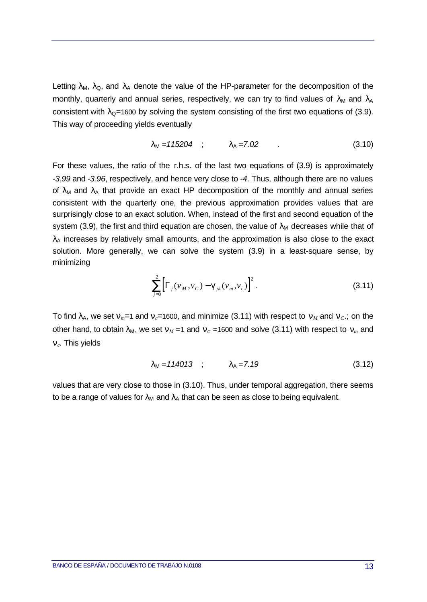Letting  $\lambda_M$ ,  $\lambda_Q$ , and  $\lambda_A$  denote the value of the HP-parameter for the decomposition of the monthly, quarterly and annual series, respectively, we can try to find values of  $\lambda_M$  and  $\lambda_A$ consistent with  $\lambda_{\mathbf{Q}}$ =1600 by solving the system consisting of the first two equations of (3.9). This way of proceeding yields eventually

$$
\lambda_{\rm M} = 115204 \quad ; \qquad \lambda_{\rm A} = 7.02 \quad . \tag{3.10}
$$

For these values, the ratio of the r.h.s. of the last two equations of (3.9) is approximately *-3.99* and *-3.96*, respectively, and hence very close to *-4*. Thus, although there are no values of  $\lambda_M$  and  $\lambda_A$  that provide an exact HP decomposition of the monthly and annual series consistent with the quarterly one, the previous approximation provides values that are surprisingly close to an exact solution. When, instead of the first and second equation of the system (3.9), the first and third equation are chosen, the value of  $\lambda_M$  decreases while that of  $\lambda_A$  increases by relatively small amounts, and the approximation is also close to the exact solution. More generally, we can solve the system (3.9) in a least-square sense, by minimizing

$$
\sum_{j=0}^{2} \left[ \Gamma_{j}(\nu_{M}, \nu_{C}) - \boldsymbol{g}_{jk}(\nu_{m}, \nu_{C}) \right]^{2}.
$$
 (3.11)

To find  $\lambda_A$ , we set  $n_m$  = 1 and  $n_c$  = 1600, and minimize (3.11) with respect to  $n_M$  and  $n_c$ ; on the other hand, to obtain  $\lambda_M$ , we set  $n_M = 1$  and  $n_c = 1600$  and solve (3.11) with respect to  $n_m$  and *nc*. This yields

$$
\lambda_{\rm M} = 114013 \quad ; \quad \lambda_{\rm A} = 7.19 \tag{3.12}
$$

values that are very close to those in (3.10). Thus, under temporal aggregation, there seems to be a range of values for  $\lambda_M$  and  $\lambda_A$  that can be seen as close to being equivalent.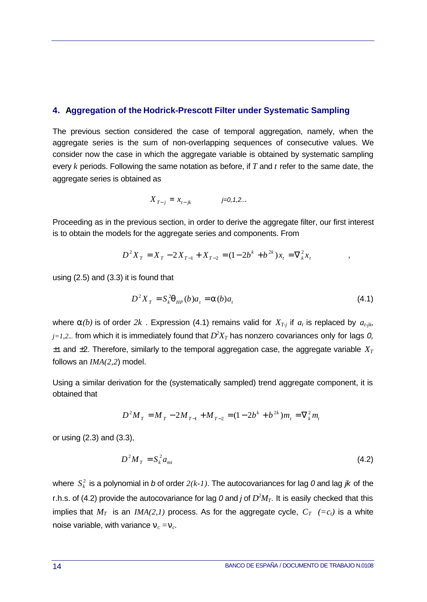### **4. Aggregation of the Hodrick-Prescott Filter under Systematic Sampling**

The previous section considered the case of temporal aggregation, namely, when the aggregate series is the sum of non-overlapping sequences of consecutive values. We consider now the case in which the aggregate variable is obtained by systematic sampling every *k* periods. Following the same notation as before, if *T* and *t* refer to the same date, the aggregate series is obtained as

$$
X_{T-j} = x_{t-jk} \qquad \qquad j=0,1,2...
$$

Proceeding as in the previous section, in order to derive the aggregate filter, our first interest is to obtain the models for the aggregate series and components. From

$$
D^{2}X_{T} = X_{T} - 2X_{T-1} + X_{T-2} = (1 - 2b^{k} + b^{2k})x_{t} = \nabla_{k}^{2}x_{t}
$$

using (2.5) and (3.3) it is found that

$$
D^2 X_T = S_k^2 \mathbf{q}_{HP}(b) a_t = \mathbf{a}(b) a_t
$$
\n
$$
(4.1)
$$

where  $a(b)$  is of order  $2k$ . Expression (4.1) remains valid for  $X_{T-j}$  if  $a_t$  is replaced by  $a_{t-jk}$ ,  $\beta$  *j*=1,2... from which it is immediately found that  $D^2X_T$  has nonzero covariances only for lags 0,  $\pm$ 1 and  $\pm$ 2. Therefore, similarly to the temporal aggregation case, the aggregate variable  $X_T$ follows an *IMA(2,2*) model.

Using a similar derivation for the (systematically sampled) trend aggregate component, it is obtained that

$$
D^{2}M_{T} = M_{T} - 2M_{T-1} + M_{T-2} = (1 - 2b^{k} + b^{2k})m_{t} = \nabla_{k}^{2}m_{t}
$$

or using (2.3) and (3.3),

$$
D^2 M_T = S_k^2 a_{mt} \tag{4.2}
$$

where  $\,S^{\,2}_{k}\,$  is a polynomial in  $b$  of order  $2(k\text{-}l\,)$ . The autocovariances for lag  $0$  and lag  $j\!k\,$  of the r.h.s. of (4.2) provide the autocovariance for lag 0 and *j* of  $D^2M_T$ . It is easily checked that this implies that  $M_T$  is an *IMA(2,1)* process. As for the aggregate cycle,  $C_T$  (= $c_t$ ) is a white noise variable, with variance  $n_c = n_c$ .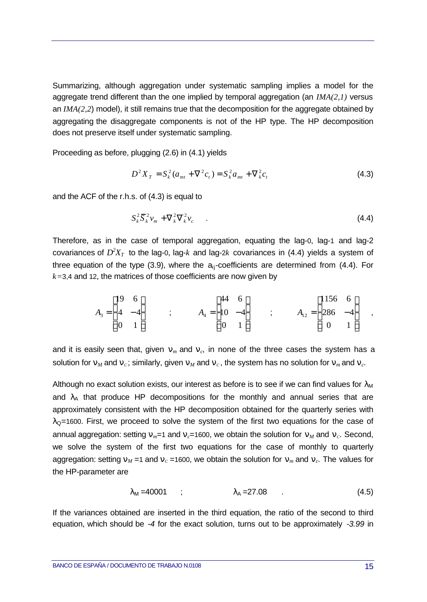Summarizing, although aggregation under systematic sampling implies a model for the aggregate trend different than the one implied by temporal aggregation (an *IMA(2,1)* versus an *IMA(2,2*) model), it still remains true that the decomposition for the aggregate obtained by aggregating the disaggregate components is not of the HP type. The HP decomposition does not preserve itself under systematic sampling.

Proceeding as before, plugging (2.6) in (4.1) yields

$$
D^{2}X_{T} = S_{k}^{2}(a_{mt} + \nabla^{2}c_{t}) = S_{k}^{2}a_{mt} + \nabla^{2}c_{t}
$$
\n(4.3)

and the ACF of the r.h.s. of (4.3) is equal to

$$
S_k^2 \overline{S}_k^2 v_m + \nabla_k^2 \nabla_k^2 v_c \tag{4.4}
$$

Therefore, as in the case of temporal aggregation, equating the lag-0, lag-1 and lag-2 covariances of  $D^2X_T$  to the lag-0, lag- $k$  and lag-2 $k$  covariances in (4.4) yields a system of three equation of the type (3.9), where the  $a_{ii}$ -coefficients are determined from (4.4). For *k=*3,4 and 12, the matrices of those coefficients are now given by

$$
A_3 = \begin{bmatrix} 19 & 6 \\ 4 & -4 \\ 0 & 1 \end{bmatrix} \qquad ; \qquad A_4 = \begin{bmatrix} 44 & 6 \\ 10 & -4 \\ 0 & 1 \end{bmatrix} \qquad ; \qquad A_{12} = \begin{bmatrix} 1156 & 6 \\ 286 & -4 \\ 0 & 1 \end{bmatrix} \qquad ,
$$

and it is easily seen that, given  $n_m$  and  $n_c$ , in none of the three cases the system has a solution for  $n_M$  and  $n_C$ ; similarly, given  $n_M$  and  $n_C$ , the system has no solution for  $n_m$  and  $n_C$ .

Although no exact solution exists, our interest as before is to see if we can find values for  $\lambda_M$ and  $\lambda_A$  that produce HP decompositions for the monthly and annual series that are approximately consistent with the HP decomposition obtained for the quarterly series with  $\lambda$ <sub>O</sub>=1600. First, we proceed to solve the system of the first two equations for the case of annual aggregation: setting  $n_m=1$  and  $n_c=1600$ , we obtain the solution for  $n_M$  and  $n_c$ . Second, we solve the system of the first two equations for the case of monthly to quarterly aggregation: setting  $n_M = 1$  and  $n_C = 1600$ , we obtain the solution for  $n_m$  and  $n_C$ . The values for the HP-parameter are

$$
\lambda_M = 40001
$$
 ;  $\lambda_A = 27.08$  . (4.5)

If the variances obtained are inserted in the third equation, the ratio of the second to third equation, which should be *-4* for the exact solution, turns out to be approximately *-3.99* in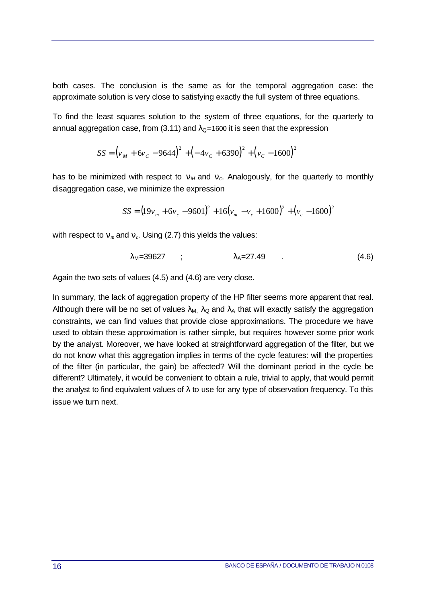both cases. The conclusion is the same as for the temporal aggregation case: the approximate solution is very close to satisfying exactly the full system of three equations.

To find the least squares solution to the system of three equations, for the quarterly to annual aggregation case, from (3.11) and  $\lambda_{\mathcal{Q}}$ =1600 it is seen that the expression

$$
SS = (v_M + 6v_C - 9644)^2 + (-4v_C + 6390)^2 + (v_C - 1600)^2
$$

has to be minimized with respect to  $n_M$  and  $n_C$ . Analogously, for the quarterly to monthly disaggregation case, we minimize the expression

$$
SS = (19v_m + 6v_c - 9601)^2 + 16(v_m - v_c + 1600)^2 + (v_c - 1600)^2
$$

with respect to  $n_m$  and  $n_c$ . Using (2.7) this yields the values:

$$
\lambda_{\rm M} = 39627 \qquad ; \qquad \lambda_{\rm A} = 27.49 \qquad . \tag{4.6}
$$

Again the two sets of values (4.5) and (4.6) are very close.

In summary, the lack of aggregation property of the HP filter seems more apparent that real. Although there will be no set of values  $\lambda_{\text{M}}$ ,  $\lambda_{\text{Q}}$  and  $\lambda_{\text{A}}$  that will exactly satisfy the aggregation constraints, we can find values that provide close approximations. The procedure we have used to obtain these approximation is rather simple, but requires however some prior work by the analyst. Moreover, we have looked at straightforward aggregation of the filter, but we do not know what this aggregation implies in terms of the cycle features: will the properties of the filter (in particular, the gain) be affected? Will the dominant period in the cycle be different? Ultimately, it would be convenient to obtain a rule, trivial to apply, that would permit the analyst to find equivalent values of  $\lambda$  to use for any type of observation frequency. To this issue we turn next.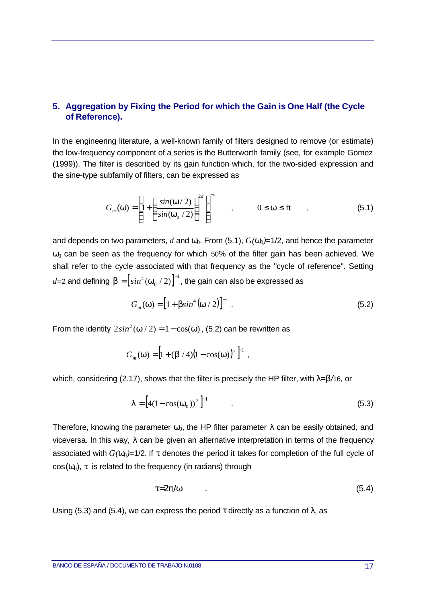## **5. Aggregation by Fixing the Period for which the Gain is One Half (the Cycle of Reference).**

In the engineering literature, a well-known family of filters designed to remove (or estimate) the low-frequency component of a series is the Butterworth family (see, for example Gomez (1999)). The filter is described by its gain function which, for the two-sided expression and the sine-type subfamily of filters, can be expressed as

$$
G_m(\mathbf{w}) = \left[1 + \left(\frac{\sin(\mathbf{w}/2)}{\sin(\mathbf{w}_0/2)}\right)^{2d}\right]^{-1}, \qquad 0 \le \mathbf{w} \le \mathbf{p} \qquad , \tag{5.1}
$$

and depends on two parameters, *d* and  $w_0$ . From (5.1),  $G(w_0)=1/2$ , and hence the parameter *w*<sub>0</sub> can be seen as the frequency for which 50% of the filter gain has been achieved. We shall refer to the cycle associated with that frequency as the "cycle of reference". Setting  $d$ =2 and defining  $\boldsymbol{b} = \left[sin^4 \left(\boldsymbol{w}_{0}\left/\right.2\right)\right]^{-1}$  $\left( \bm{w}_\mathrm{o} \, / \, 2 \right)^{ - 1}$ , the gain can also be expressed as

$$
G_m(\mathbf{w}) = [1 + b\sin^4(\mathbf{w}/2)]^{-1} .
$$
 (5.2)

From the identity  $2\sin^2(w/2) = 1 - \cos(w)$ , (5.2) can be rewritten as

$$
G_m(\mathbf{w}) = [1 + (\mathbf{b}/4)(1 - \cos(\mathbf{w}))^2]^{-1},
$$

which, considering (2.17), shows that the filter is precisely the HP filter, with λ*=b/*16*,* or

$$
I = [4(1 - \cos(w_0))^2]^{-1}
$$
 (5.3)

Therefore, knowing the parameter  $w_0$ , the HP filter parameter  $\lambda$  can be easily obtained, and viceversa. In this way, λ can be given an alternative interpretation in terms of the frequency associated with  $G(w_0)=1/2$ . If *t* denotes the period it takes for completion of the full cycle of  $cos(w_0)$ , *t* is related to the frequency (in radians) through

$$
t = 2p/w \tag{5.4}
$$

Using (5.3) and (5.4), we can express the period *t* directly as a function of  $\lambda$ , as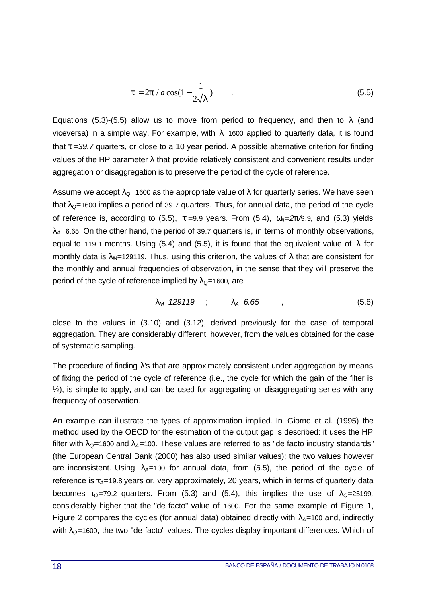$$
t = 2p / a \cos(1 - \frac{1}{2\sqrt{I}})
$$
 (5.5)

Equations (5.3)-(5.5) allow us to move from period to frequency, and then to  $\lambda$  (and viceversa) in a simple way. For example, with λ*=*1600 applied to quarterly data, it is found that *t =39.7* quarters, or close to a 10 year period. A possible alternative criterion for finding values of the HP parameter  $\lambda$  that provide relatively consistent and convenient results under aggregation or disaggregation is to preserve the period of the cycle of reference.

Assume we accept  $\lambda_0$ =1600 as the appropriate value of  $\lambda$  for quarterly series. We have seen that  $\lambda$ <sup> $Q$ =1600 implies a period of 39.7 quarters. Thus, for annual data, the period of the cycle</sup> of reference is, according to (5.5),  $t = 9.9$  years. From (5.4),  $\omega_A = 2p/9.9$ , and (5.3) yields  $\lambda$ <sub>*A*</sub>=6.65. On the other hand, the period of 39.7 quarters is, in terms of monthly observations, equal to 119.1 months. Using (5.4) and (5.5), it is found that the equivalent value of  $\lambda$  for monthly data is  $\lambda_M$ =129119. Thus, using this criterion, the values of  $\lambda$  that are consistent for the monthly and annual frequencies of observation, in the sense that they will preserve the period of the cycle of reference implied by λ*Q=*1600*,* are

$$
\lambda_M = 129119 \quad ; \quad \lambda_A = 6.65 \quad , \tag{5.6}
$$

close to the values in (3.10) and (3.12), derived previously for the case of temporal aggregation. They are considerably different, however, from the values obtained for the case of systematic sampling.

The procedure of finding  $\lambda$ 's that are approximately consistent under aggregation by means of fixing the period of the cycle of reference (i.e., the cycle for which the gain of the filter is  $\frac{1}{2}$ , is simple to apply, and can be used for aggregating or disaggregating series with any frequency of observation.

An example can illustrate the types of approximation implied. In Giorno et al. (1995) the method used by the OECD for the estimation of the output gap is described: it uses the HP filter with  $\lambda_0$ =1600 and  $\lambda_0$ =100. These values are referred to as "de facto industry standards" (the European Central Bank (2000) has also used similar values); the two values however are inconsistent. Using  $\lambda_A$ =100 for annual data, from (5.5), the period of the cycle of reference is  $t_A$ =19.8 years or, very approximately, 20 years, which in terms of quarterly data becomes  $t_0$ =79.2 quarters. From (5.3) and (5.4), this implies the use of  $\lambda_0$ =25199, considerably higher that the "de facto" value of 1600. For the same example of Figure 1, Figure 2 compares the cycles (for annual data) obtained directly with  $\lambda$ <sub>A</sub>=100 and, indirectly with λ*Q=*1600, the two "de facto" values. The cycles display important differences. Which of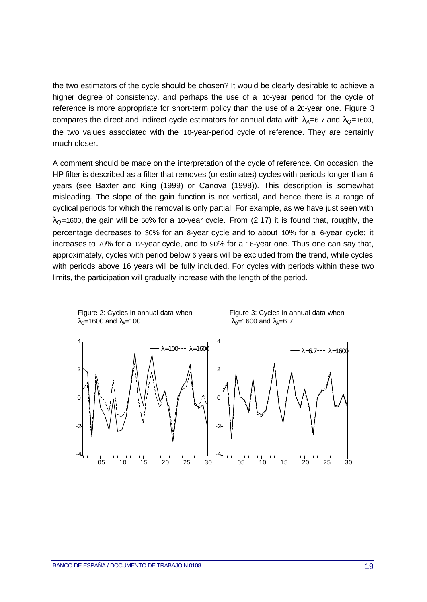the two estimators of the cycle should be chosen? It would be clearly desirable to achieve a higher degree of consistency, and perhaps the use of a 10-year period for the cycle of reference is more appropriate for short-term policy than the use of a 20-year one. Figure 3 compares the direct and indirect cycle estimators for annual data with λ*A=*6.7 and λ*Q=*1600, the two values associated with the 10-year-period cycle of reference. They are certainly much closer.

A comment should be made on the interpretation of the cycle of reference. On occasion, the HP filter is described as a filter that removes (or estimates) cycles with periods longer than 6 years (see Baxter and King (1999) or Canova (1998)). This description is somewhat misleading. The slope of the gain function is not vertical, and hence there is a range of cyclical periods for which the removal is only partial. For example, as we have just seen with λ*Q=*1600, the gain will be 50% for a 10-year cycle. From (2.17) it is found that, roughly, the percentage decreases to 30% for an 8-year cycle and to about 10% for a 6-year cycle; it increases to 70% for a 12-year cycle, and to 90% for a 16-year one. Thus one can say that, approximately, cycles with period below 6 years will be excluded from the trend, while cycles with periods above 16 years will be fully included. For cycles with periods within these two limits, the participation will gradually increase with the length of the period.



Figure 2: Cycles in annual data when Figure 3: Cycles in annual data when  $\lambda_{\rm Q}$ =1600 and  $\lambda_{\rm A}$ =100.  $\lambda_{\rm Q}$ =1600 and  $\lambda_{\rm A}$ =6.7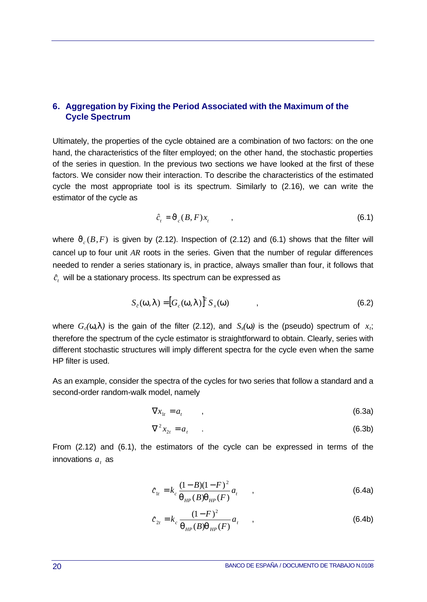## **6. Aggregation by Fixing the Period Associated with the Maximum of the Cycle Spectrum**

Ultimately, the properties of the cycle obtained are a combination of two factors: on the one hand, the characteristics of the filter employed; on the other hand, the stochastic properties of the series in question. In the previous two sections we have looked at the first of these factors. We consider now their interaction. To describe the characteristics of the estimated cycle the most appropriate tool is its spectrum. Similarly to (2.16), we can write the estimator of the cycle as

$$
\hat{c}_t = \mathbf{J}_c(B, F)x_t \tag{6.1}
$$

where  $J_c(B,F)$  is given by (2.12). Inspection of (2.12) and (6.1) shows that the filter will cancel up to four unit *AR* roots in the series. Given that the number of regular differences needed to render a series stationary is, in practice, always smaller than four, it follows that  $\hat{c}_{\epsilon}^{\phantom{\dag}}$  will be a stationary process. Its spectrum can be expressed as

$$
S_c(\mathbf{w}, \mathbf{I}) = [G_c(\mathbf{w}, \mathbf{I})]^2 S_x(\mathbf{w}) \tag{6.2}
$$

where  $G_c(w, l)$  is the gain of the filter (2.12), and  $S_x(w)$  is the (pseudo) spectrum of  $x_i$ ; therefore the spectrum of the cycle estimator is straightforward to obtain. Clearly, series with different stochastic structures will imply different spectra for the cycle even when the same HP filter is used.

As an example, consider the spectra of the cycles for two series that follow a standard and a second-order random-walk model, namely

$$
\nabla x_{1t} = a_t \tag{6.3a}
$$

$$
\nabla^2 x_{2t} = a_t \tag{6.3b}
$$

From (2.12) and (6.1), the estimators of the cycle can be expressed in terms of the innovations  $a_t$  as

$$
\hat{c}_{1t} = k_c \frac{(1 - B)(1 - F)^2}{\mathbf{q}_{HP}(B)\mathbf{q}_{HP}(F)} a_t , \qquad (6.4a)
$$

$$
\hat{c}_{2t} = k_c \frac{(1 - F)^2}{\mathbf{q}_{HP}(B)\mathbf{q}_{HP}(F)} a_t , \qquad (6.4b)
$$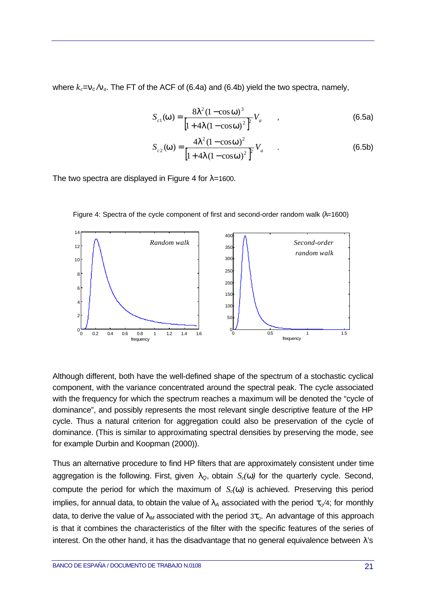where  $k_c = n_c / n_a$ . The FT of the ACF of (6.4a) and (6.4b) yield the two spectra, namely,

$$
S_{c1}(\mathbf{w}) = \frac{8I^2 (1 - \cos \mathbf{w})^3}{\left[1 + 4I (1 - \cos \mathbf{w})^2\right]^2} V_a \tag{6.5a}
$$

$$
S_{c2}(\mathbf{w}) = \frac{4I^2(1 - \cos \mathbf{w})^2}{\left[1 + 4I(1 - \cos \mathbf{w})^2\right]^2} V_a
$$
 (6.5b)

The two spectra are displayed in Figure 4 for λ*=*1600.



Figure 4: Spectra of the cycle component of first and second-order random walk  $(\lambda=1600)$ 

Although different, both have the well-defined shape of the spectrum of a stochastic cyclical component, with the variance concentrated around the spectral peak. The cycle associated with the frequency for which the spectrum reaches a maximum will be denoted the "cycle of dominance", and possibly represents the most relevant single descriptive feature of the HP cycle. Thus a natural criterion for aggregation could also be preservation of the cycle of dominance. (This is similar to approximating spectral densities by preserving the mode, see for example Durbin and Koopman (2000)).

Thus an alternative procedure to find HP filters that are approximately consistent under time aggregation is the following. First, given λ*Q*, obtain *Sc(w)* for the quarterly cycle. Second, compute the period for which the maximum of  $S_c(w)$  is achieved. Preserving this period implies, for annual data, to obtain the value of  $\lambda_A$  associated with the period  $t_o/4$ ; for monthly data, to derive the value of λ*M* associated with the period 3*tQ*. An advantage of this approach is that it combines the characteristics of the filter with the specific features of the series of interest. On the other hand, it has the disadvantage that no general equivalence between  $\lambda$ 's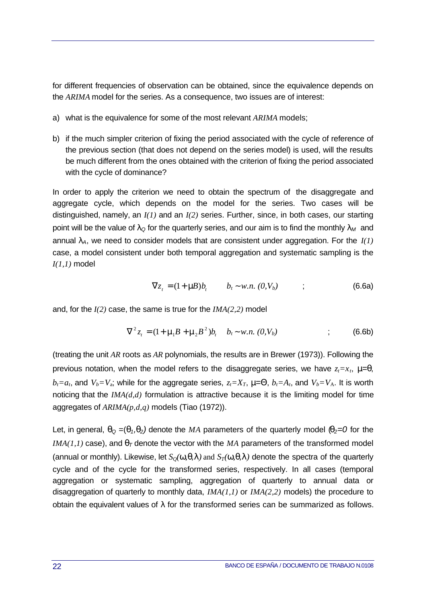for different frequencies of observation can be obtained, since the equivalence depends on the *ARIMA* model for the series. As a consequence, two issues are of interest:

- a) what is the equivalence for some of the most relevant *ARIMA* models;
- b) if the much simpler criterion of fixing the period associated with the cycle of reference of the previous section (that does not depend on the series model) is used, will the results be much different from the ones obtained with the criterion of fixing the period associated with the cycle of dominance?

In order to apply the criterion we need to obtain the spectrum of the disaggregate and aggregate cycle, which depends on the model for the series. Two cases will be distinguished, namely, an *I(1)* and an *I(2)* series. Further, since, in both cases, our starting point will be the value of  $\lambda_Q$  for the quarterly series, and our aim is to find the monthly  $\lambda_M$  and annual λ*A*, we need to consider models that are consistent under aggregation. For the *I(1)* case, a model consistent under both temporal aggregation and systematic sampling is the *I(1,1)* model

$$
\nabla z_t = (1 + \mathbf{n}B)b_t \qquad b_t \sim w.n. \ (0, V_b) \qquad ; \tag{6.6a}
$$

and, for the *I(2)* case, the same is true for the *IMA(2,2)* model

$$
\nabla^2 z_t = (1 + \mathbf{m}_1 B + \mathbf{m}_2 B^2) b_t \quad b_t \sim w.n. \ (0, V_b)
$$
 (6.6b)

(treating the unit *AR* roots as *AR* polynomials, the results are in Brewer (1973)). Following the previous notation, when the model refers to the disaggregate series, we have  $z_t = x_t$ ,  $m=q$ ,  $b_t = a_t$ , and  $V_b = V_a$ ; while for the aggregate series,  $z_t = X_T$ ,  $m = Q$ ,  $b_t = A_t$ , and  $V_b = V_A$ . It is worth noticing that the *IMA(d,d)* formulation is attractive because it is the limiting model for time aggregates of *ARIMA(p,d,q)* models (Tiao (1972)).

Let, in general,  $q_Q = (q_1, q_2)$  denote the MA parameters of the quarterly model ( $q_2 = 0$  for the *IMA(1,1)* case), and  $q<sub>T</sub>$  denote the vector with the *MA* parameters of the transformed model (annual or monthly). Likewise, let  $S_0(w, q, l)$  and  $S_7(w, q, l)$  denote the spectra of the quarterly cycle and of the cycle for the transformed series, respectively. In all cases (temporal aggregation or systematic sampling, aggregation of quarterly to annual data or disaggregation of quarterly to monthly data, *IMA(1,1)* or *IMA(2,2)* models) the procedure to obtain the equivalent values of  $\lambda$  for the transformed series can be summarized as follows.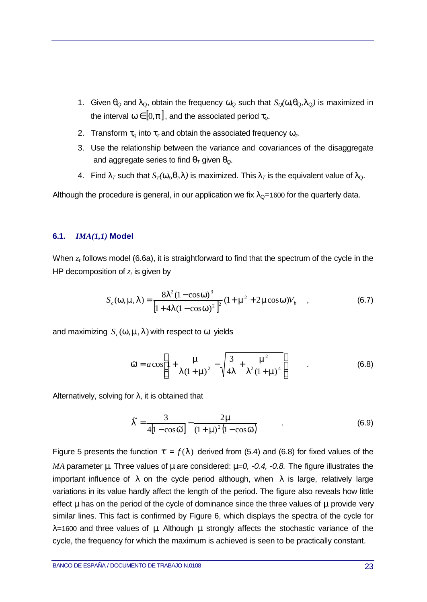- 1. Given  $q_{\text{Q}}$  and  $\lambda_{\text{Q}}$ , obtain the frequency  $w_{\text{Q}}$  such that  $S_{\text{Q}}(w,q_{\text{Q}},I_{\text{Q}})$  is maximized in the interval  $w \in [0, p]$ , and the associated period  $t_o$ .
- 2. Transform  $t_{\varrho}$  into  $t_{\varrho}$  and obtain the associated frequency  $w_{\varrho}$ .
- 3. Use the relationship between the variance and covariances of the disaggregate and aggregate series to find  $q<sub>T</sub>$  given  $q<sub>Q</sub>$ .
- 4. Find  $I_T$  such that  $S_T(\mathbf{w}_T, \mathbf{q}_T)$  is maximized. This  $I_T$  is the equivalent value of  $\lambda_{\mathbf{Q}}$ .

Although the procedure is general, in our application we fix  $\lambda_{\mathbf{Q}}$ =1600 for the quarterly data.

### **6.1.** *IMA(1,1)* **Model**

When  $z<sub>t</sub>$  follows model (6.6a), it is straightforward to find that the spectrum of the cycle in the HP decomposition of *z<sup>t</sup>* is given by

$$
S_c(\mathbf{w}, \mathbf{m}, \mathbf{I}) = \frac{8\mathbf{I}^2 (1 - \cos \mathbf{w})^3}{\left[1 + 4\mathbf{I} (1 - \cos \mathbf{w})^2\right]^2} (1 + \mathbf{m}^2 + 2\mathbf{m}\cos \mathbf{w}) V_b \quad , \tag{6.7}
$$

and maximizing  $S_c(w, m, l)$  with respect to *w* yields

$$
\mathbf{\hat{w}} = a \cos \left[ 1 + \frac{\mathbf{m}}{I \left( 1 + \mathbf{m} \right)^2} - \sqrt{\frac{3}{4I} + \frac{\mathbf{m}^2}{I^2 \left( 1 + \mathbf{m} \right)^4}} \right] \tag{6.8}
$$

Alternatively, solving for  $\lambda$ , it is obtained that

$$
\mathbf{\Gamma} = \frac{3}{4\left[1 - \cos\tilde{\mathbf{w}}\right]} - \frac{2\mathbf{m}}{\left(1 + \mathbf{m}\right)^2 \left(1 - \cos\tilde{\mathbf{w}}\right)}\tag{6.9}
$$

Figure 5 presents the function  $\mathbf{r} = f(\mathbf{l})$  derived from (5.4) and (6.8) for fixed values of the *MA* parameter *m*. Three values of *mare* considered:  $m=0$ , -0.4, -0.8. The figure illustrates the important influence of *I* on the cycle period although, when  $\lambda$  is large, relatively large variations in its value hardly affect the length of the period. The figure also reveals how little effect *m* has on the period of the cycle of dominance since the three values of *m* provide very similar lines. This fact is confirmed by Figure 6, which displays the spectra of the cycle for *l=*1600 and three values of *m.* Although *m* strongly affects the stochastic variance of the cycle, the frequency for which the maximum is achieved is seen to be practically constant.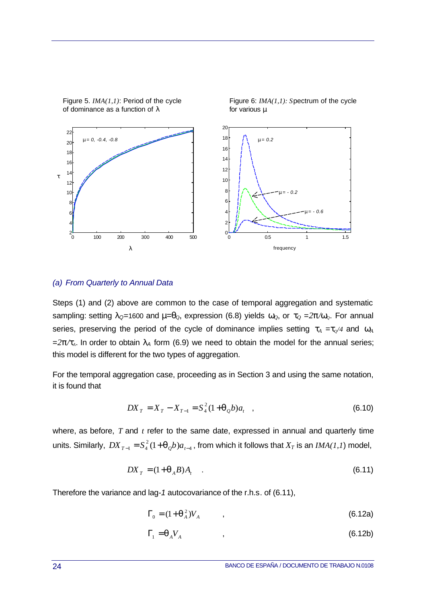

of dominance as a function of  $\lambda$  for various  $\mu$ 

Figure 5. *IMA(1,1)*: Period of the cycle Figure 6: *IMA(1,1): Spectrum of the cycle* 

### *(a) From Quarterly to Annual Data*

Steps (1) and (2) above are common to the case of temporal aggregation and systematic sampling: setting  $\lambda_{\mathcal{Q}}=1600$  and  $m=q_0$ , expression (6.8) yields  $w_0$ , or  $t_0=2p/w_0$ . For annual series, preserving the period of the cycle of dominance implies setting  $t_A = t_0/4$  and  $w_A$  $=2p/t<sub>A</sub>$ . In order to obtain  $\lambda_A$  form (6.9) we need to obtain the model for the annual series; this model is different for the two types of aggregation.

For the temporal aggregation case, proceeding as in Section 3 and using the same notation, it is found that

$$
DX_T = X_T - X_{T-1} = S_4^2 (1 + \mathbf{q}_Q b) a_t \quad , \tag{6.10}
$$

where, as before, *T* and *t* refer to the same date, expressed in annual and quarterly time units. Similarly,  $DX_{T-1} = S_4^2 (1 + \bm{q}_{Q}b)a_{t-4}$  $DX_{T-1} = S_4^2 \left(1\!+\! \bm{q}_{\mathcal{Q}} b\right) \! a_{_{t\!-\!4}}$  , from which it follows that  $X_T$  is an  $\mathit{IMA}(1,1)$  model,

$$
DX_T = (1 + \boldsymbol{q}_A B)A_t \tag{6.11}
$$

Therefore the variance and lag*-1* autocovariance of the r.h.s. of (6.11),

$$
\Gamma_0 = (1 + \boldsymbol{q}_A^2) V_A \tag{6.12a}
$$

$$
\Gamma_1 = \mathbf{q}_A V_A \tag{6.12b}
$$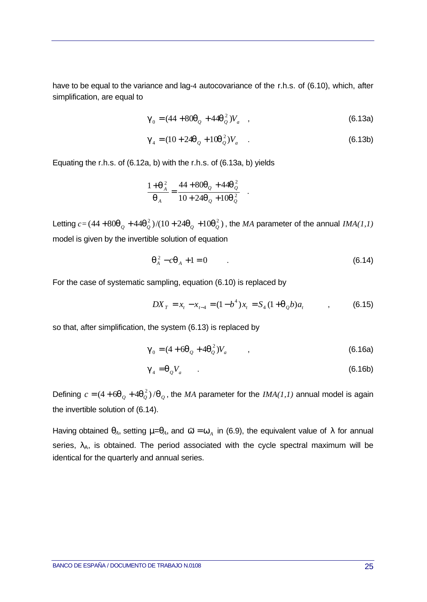have to be equal to the variance and lag-4 autocovariance of the r.h.s. of (6.10), which, after simplification, are equal to

$$
\boldsymbol{g}_0 = (44 + 80\boldsymbol{q}_Q + 44\boldsymbol{q}_Q^2)V_a \quad , \tag{6.13a}
$$

$$
\mathbf{g}_4 = (10 + 24\mathbf{q}_Q + 10\mathbf{q}_Q^2)V_a \tag{6.13b}
$$

.

Equating the r.h.s. of (6.12a, b) with the r.h.s. of (6.13a, b) yields

$$
\frac{1+q_A^2}{q_A} = \frac{44+80q_Q+44q_Q^2}{10+24q_Q+10q_Q^2}
$$

Letting  $c$  = (44 + 80 $\bm{q}_Q$  + 44 $\bm{q}_Q^2$  )/(10 + 24 $\bm{q}_Q$  +10 $\bm{q}_Q^2$  ), the *MA* parameter of the annual *IMA(1,1)* model is given by the invertible solution of equation

$$
\mathbf{q}_A^2 - c\mathbf{q}_A + 1 = 0 \tag{6.14}
$$

For the case of systematic sampling, equation (6.10) is replaced by

$$
DX_{T} = x_{t} - x_{t-4} = (1 - b^{4})x_{t} = S_{4}(1 + \mathbf{q}_{Q}b)a_{t} \qquad (6.15)
$$

so that, after simplification, the system (6.13) is replaced by

$$
\boldsymbol{g}_0 = (4 + 6\boldsymbol{q}_Q + 4\boldsymbol{q}_Q^2) V_a \tag{6.16a}
$$

$$
\mathbf{g}_4 = \mathbf{q}_Q V_a \tag{6.16b}
$$

Defining  $c = (4 + 6\bm{q}_Q + 4\bm{q}_Q^2)/\bm{q}_Q$ , the *MA* parameter for the *IMA(1,1)* annual model is again the invertible solution of (6.14).

Having obtained  $q_A$ , setting  $m=q_A$ , and  $\boldsymbol{w}=\boldsymbol{w}_A$  in (6.9), the equivalent value of  $\lambda$  for annual series,  $\lambda_A$ , is obtained. The period associated with the cycle spectral maximum will be identical for the quarterly and annual series.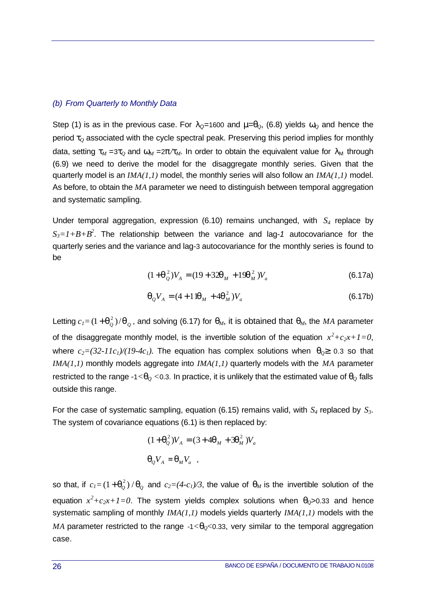### *(b) From Quarterly to Monthly Data*

Step (1) is as in the previous case. For  $\lambda_{\mathcal{Q}}=1600$  and  $m=q_0$ , (6.8) yields  $w_0$  and hence the period *tQ* associated with the cycle spectral peak. Preserving this period implies for monthly data, setting  $t_M = 3t_Q$  and  $w_M = 2p/t_M$ . In order to obtain the equivalent value for  $\lambda_M$  through (6.9) we need to derive the model for the disaggregate monthly series. Given that the quarterly model is an *IMA(1,1)* model, the monthly series will also follow an *IMA(1,1)* model. As before, to obtain the *MA* parameter we need to distinguish between temporal aggregation and systematic sampling.

Under temporal aggregation, expression (6.10) remains unchanged, with *S4* replace by *S3=1+B+B<sup>2</sup>* . The relationship between the variance and lag*-1* autocovariance for the quarterly series and the variance and lag*-*3 autocovariance for the monthly series is found to be

$$
(1 + \mathbf{q}_{Q}^{2})V_{A} = (19 + 32\mathbf{q}_{M} + 19\mathbf{q}_{M}^{2})V_{a}
$$
 (6.17a)

$$
\mathbf{q}_Q V_A = (4 + 1)\mathbf{q}_M + 4\mathbf{q}_M^2 V_a \tag{6.17b}
$$

Letting  $c_I{=}\left(1\!+\!{\bm q}_Q^2\right)/{\bm q}_Q^{}$  , and solving (6.17) for  ${\bm q}_M$ , it is obtained that  ${\bm q}_M^{}$ , the  $M$ A parameter of the disaggregate monthly model, is the invertible solution of the equation  $x^2+c_2x+1=0$ , where  $c_2 = (32 \cdot 11c_1)/(19 \cdot 4c_1)$ . The equation has complex solutions when  $q_0^3$  0.3 so that *IMA(1,1)* monthly models aggregate into *IMA(1,1)* quarterly models with the *MA* parameter restricted to the range -1< $q_0$  <0.3. In practice, it is unlikely that the estimated value of  $q_0$  falls outside this range.

For the case of systematic sampling, equation (6.15) remains valid, with *S4* replaced by *S3*. The system of covariance equations (6.1) is then replaced by:

$$
(1 + \mathbf{q}_Q^2) V_A = (3 + 4\mathbf{q}_M + 3\mathbf{q}_M^2) V_a
$$
  

$$
\mathbf{q}_Q V_A = \mathbf{q}_M V_a ,
$$

so that, if  $c_I = (1 + \bm{q}_Q^2) / \bm{q}_Q$  and  $c_2 = (4 - c_I)/3$ , the value of  $\bm{q}_M$  is the invertible solution of the equation  $x^2+c_2x+1=0$ . The system yields complex solutions when  $q_0$ >0.33 and hence systematic sampling of monthly *IMA(1,1)* models yields quarterly *IMA(1,1)* models with the *MA* parameter restricted to the range  $-1 < q_0 < 0.33$ , very similar to the temporal aggregation case.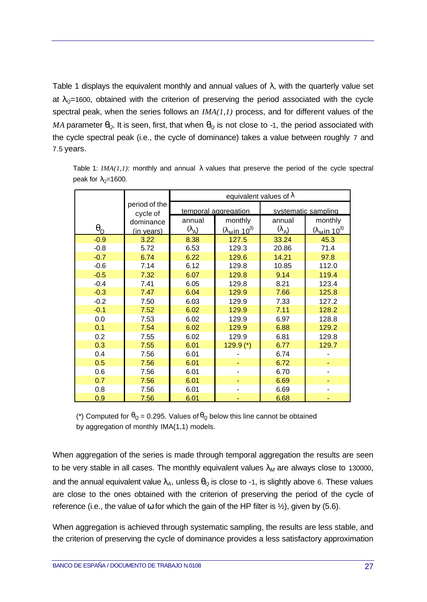Table 1 displays the equivalent monthly and annual values of *l*, with the quarterly value set at  $I<sub>Q</sub>=1600$ , obtained with the criterion of preserving the period associated with the cycle spectral peak, when the series follows an *IMA(1,1)* process, and for different values of the *MA* parameter  $q$ <sup> $Q$ </sup>. It is seen, first, that when  $q$ <sup> $Q$ </sup> is not close to -1, the period associated with the cycle spectral peak (i.e., the cycle of dominance) takes a value between roughly 7 and 7.5 years.

|                  |                       | equivalent values of $\lambda$ |                                        |                             |                                        |
|------------------|-----------------------|--------------------------------|----------------------------------------|-----------------------------|----------------------------------------|
|                  | period of the         | temporal aggregation           |                                        | systematic sampling         |                                        |
|                  | cycle of<br>dominance | annual                         | monthly                                | annual                      | monthly                                |
| $\theta_{\rm Q}$ | (in years)            | $(\lambda_A)$                  | $(\lambda_{\rm M}$ in 10 <sup>3)</sup> | $(\lambda_{\underline{A}})$ | $(\lambda_{\rm M}$ in 10 <sup>3)</sup> |
| $-0.9$           | 3.22                  | 8.38                           | 127.5                                  | 33.24                       | 45.3                                   |
| $-0.8$           | 5.72                  | 6.53                           | 129.3                                  | 20.86                       | 71.4                                   |
| $-0.7$           | 6.74                  | 6.22                           | 129.6                                  | 14.21                       | 97.8                                   |
| $-0.6$           | 7.14                  | 6.12                           | 129.8                                  | 10.85                       | 112.0                                  |
| $-0.5$           | 7.32                  | 6.07                           | 129.8                                  | 9.14                        | 119.4                                  |
| $-0.4$           | 7.41                  | 6.05                           | 129.8                                  | 8.21                        | 123.4                                  |
| $-0.3$           | 7.47                  | 6.04                           | 129.9                                  | 7.66                        | 125.8                                  |
| $-0.2$           | 7.50                  | 6.03                           | 129.9                                  | 7.33                        | 127.2                                  |
| $-0.1$           | 7.52                  | 6.02                           | 129.9                                  | 7.11                        | 128.2                                  |
| 0.0              | 7.53                  | 6.02                           | 129.9                                  | 6.97                        | 128.8                                  |
| 0.1              | 7.54                  | 6.02                           | 129.9                                  | 6.88                        | 129.2                                  |
| 0.2              | 7.55                  | 6.02                           | 129.9                                  | 6.81                        | 129.8                                  |
| 0.3              | 7.55                  | 6.01                           | $129.9$ (*)                            | 6.77                        | 129.7                                  |
| 0.4              | 7.56                  | 6.01                           |                                        | 6.74                        |                                        |
| 0.5              | 7.56                  | 6.01                           |                                        | 6.72                        |                                        |
| 0.6              | 7.56                  | 6.01                           |                                        | 6.70                        |                                        |
| 0.7              | 7.56                  | 6.01                           |                                        | 6.69                        |                                        |
| 0.8              | 7.56                  | 6.01                           |                                        | 6.69                        |                                        |
| 0.9              | 7.56                  | 6.01                           |                                        | 6.68                        |                                        |

Table 1:  $IMA(I, I)$ : monthly and annual  $\lambda$  values that preserve the period of the cycle spectral peak for  $\lambda_0 = 1600$ .

(\*) Computed for  $\theta_{\text{Q}} = 0.295$ . Values of  $\theta_{\text{Q}}$  below this line cannot be obtained by aggregation of monthly IMA(1,1) models.

When aggregation of the series is made through temporal aggregation the results are seen to be very stable in all cases. The monthly equivalent values  $I_M$  are always close to 130000, and the annual equivalent value  $I_A$ , unless  $q_0$  is close to -1, is slightly above 6. These values are close to the ones obtained with the criterion of preserving the period of the cycle of reference (i.e., the value of  $w$  for which the gain of the HP filter is  $\frac{1}{2}$ ), given by (5.6).

When aggregation is achieved through systematic sampling, the results are less stable, and the criterion of preserving the cycle of dominance provides a less satisfactory approximation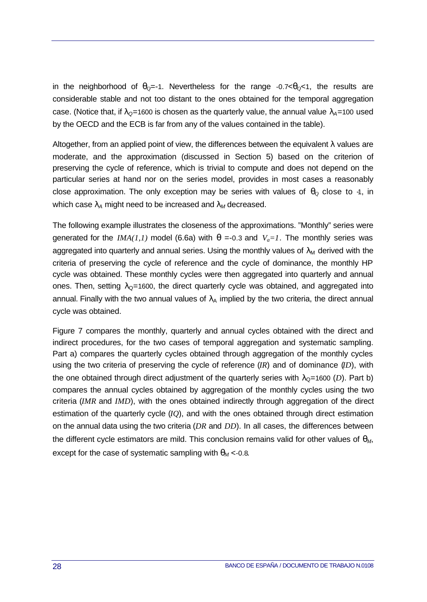in the neighborhood of  $q_0$ =-1. Nevertheless for the range -0.7 $< q_0$ <1, the results are considerable stable and not too distant to the ones obtained for the temporal aggregation case. (Notice that, if  $I_{\text{Q}}=1600$  is chosen as the quarterly value, the annual value  $I_{\text{A}}=100$  used by the OECD and the ECB is far from any of the values contained in the table).

Altogether, from an applied point of view, the differences between the equivalent  $\lambda$  values are moderate, and the approximation (discussed in Section 5) based on the criterion of preserving the cycle of reference, which is trivial to compute and does not depend on the particular series at hand nor on the series model, provides in most cases a reasonably close approximation. The only exception may be series with values of  $q<sub>O</sub>$  close to -1, in which case  $I_A$  might need to be increased and  $I_M$  decreased.

The following example illustrates the closeness of the approximations. "Monthly" series were generated for the *IMA(1,1)* model (6.6a) with  $q = -0.3$  and  $V_a = 1$ . The monthly series was aggregated into quarterly and annual series. Using the monthly values of  $\lambda_M$  derived with the criteria of preserving the cycle of reference and the cycle of dominance, the monthly HP cycle was obtained. These monthly cycles were then aggregated into quarterly and annual ones. Then, setting  $\lambda_{\Omega}$ =1600, the direct quarterly cycle was obtained, and aggregated into annual. Finally with the two annual values of  $\lambda_A$  implied by the two criteria, the direct annual cycle was obtained.

Figure 7 compares the monthly, quarterly and annual cycles obtained with the direct and indirect procedures, for the two cases of temporal aggregation and systematic sampling. Part a) compares the quarterly cycles obtained through aggregation of the monthly cycles using the two criteria of preserving the cycle of reference (*IR*) and of dominance (*ID*), with the one obtained through direct adjustment of the quarterly series with  $\lambda_{\rm Q}=1600$  (*D*). Part b) compares the annual cycles obtained by aggregation of the monthly cycles using the two criteria (*IMR* and *IMD*), with the ones obtained indirectly through aggregation of the direct estimation of the quarterly cycle (*IQ*), and with the ones obtained through direct estimation on the annual data using the two criteria (*DR* and *DD*). In all cases, the differences between the different cycle estimators are mild. This conclusion remains valid for other values of *qM*, except for the case of systematic sampling with  $q_M < 0.8$ .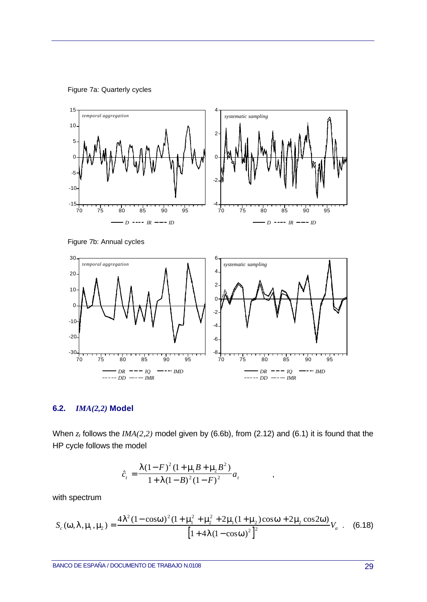Figure 7a: Quarterly cycles



Figure 7b: Annual cycles



### **6.2.** *IMA(2,2)* **Model**

When *z<sup>t</sup>* follows the *IMA(2,2)* model given by (6.6b), from (2.12) and (6.1) it is found that the HP cycle follows the model

,

$$
\hat{c}_t = \frac{\bm{I}(1-F)^2(1+\bm{m}_t\bm{B}+\bm{m}_t\bm{B}^2)}{1+\bm{I}(1-\bm{B})^2(1-F)^2}a_t
$$

with spectrum

$$
S_c(\mathbf{w}, \mathbf{I}, \mathbf{m}, \mathbf{m}_2) = \frac{4\mathbf{I}^2 (1 - \cos \mathbf{w})^2 (1 + \mathbf{m}_1^2 + \mathbf{m}_2^2 + 2 \mathbf{m}_1 (1 + \mathbf{m}_2) \cos \mathbf{w} + 2 \mathbf{m}_2 \cos 2 \mathbf{w})}{\left[1 + 4 \mathbf{I} (1 - \cos \mathbf{w})^2\right]^2} V_a \quad . \quad (6.18)
$$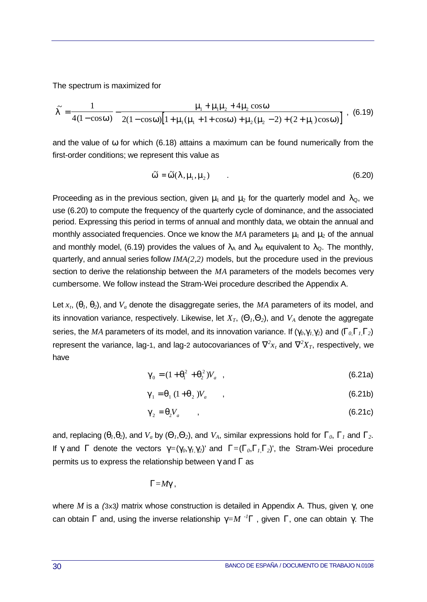The spectrum is maximized for

$$
\widetilde{I} = \frac{1}{4(1-\cos w)} - \frac{m_1 + m_1 m_2 + 4 m_2 \cos w}{2(1-\cos w)[1 + m_1 (m_1 + 1 + \cos w) + m_2 (m_2 - 2) + (2 + m_1)\cos w]} \tag{6.19}
$$

and the value of *w* for which (6.18) attains a maximum can be found numerically from the first-order conditions; we represent this value as

$$
\widetilde{\mathbf{w}} = \widetilde{\mathbf{w}}(\mathbf{1}, \mathbf{m}_1, \mathbf{m}_2) \tag{6.20}
$$

Proceeding as in the previous section, given **m** and **m**<sub>2</sub> for the quarterly model and  $\lambda_{\Omega}$ , we use (6.20) to compute the frequency of the quarterly cycle of dominance, and the associated period. Expressing this period in terms of annual and monthly data, we obtain the annual and monthly associated frequencies. Once we know the *MA* parameters **m**<sub>2</sub> and **m**<sub>2</sub> of the annual and monthly model, (6.19) provides the values of  $I_A$  and  $\lambda_M$  equivalent to  $\lambda_Q$ . The monthly, quarterly, and annual series follow *IMA(2,2)* models, but the procedure used in the previous section to derive the relationship between the *MA* parameters of the models becomes very cumbersome. We follow instead the Stram-Wei procedure described the Appendix A.

Let *xt*, (*q1*, *q2*), and *Va* denote the disaggregate series, the *MA* parameters of its model, and its innovation variance, respectively. Likewise, let  $X_T$ ,  $(Q_1, Q_2)$ , and  $V_A$  denote the aggregate series, the *MA* parameters of its model, and its innovation variance. If  $(g_0, g_1, g_2)$  and  $(G_0, G_1, G_2)$ represent the variance, lag-1, and lag-2 autocovariances of  $\tilde{\mathbf{N}}^2 x_t$  and  $\tilde{\mathbf{N}}^2 X_T$ , respectively, we have

$$
\mathbf{g}_0 = (1 + \mathbf{q}_1^2 + \mathbf{q}_2^2) V_a \quad , \tag{6.21a}
$$

$$
\mathbf{g}_1 = \mathbf{q}_1 \left( 1 + \mathbf{q}_2 \right) V_a \tag{6.21b}
$$

$$
\mathbf{g}_2 = \mathbf{q}_2 V_a \tag{6.21c}
$$

and, replacing  $(q_1, q_2)$ , and  $V_a$  by  $(Q_1, Q_2)$ , and  $V_A$ , similar expressions hold for  $G_0$ ,  $G_1$  and  $G_2$ . If *g* and *G* denote the vectors  $g=(g_0, g_1, g_2)$  and  $G=(G_0, G_1, G_2)$ , the Stram-Wei procedure permits us to express the relationship between *g* and *G* as

$$
G = Mg,
$$

where *M* is a *(*3x3*)* matrix whose construction is detailed in Appendix A. Thus, given *g*, one can obtain *G* and, using the inverse relationship  $g=M^{-1}G$ , given *G*, one can obtain *g*. The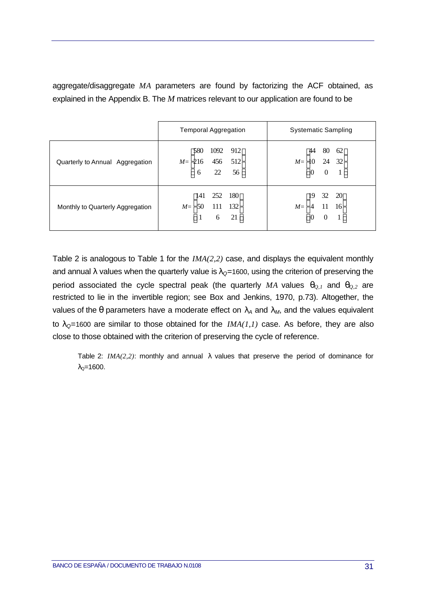|                                  | <b>Temporal Aggregation</b>                                                                               | Systematic Sampling                                                                    |  |
|----------------------------------|-----------------------------------------------------------------------------------------------------------|----------------------------------------------------------------------------------------|--|
| Quarterly to Annual Aggregation  | 580<br>912<br>1092<br>$\begin{vmatrix} 216 & 456 & 512 \\ 6 & 22 & 56 \end{vmatrix}$<br>$M=$              | 80<br>62<br>44<br>$M = \begin{bmatrix} 10 & 24 & 32 \\ 0 & 0 & 1 \end{bmatrix}$        |  |
| Monthly to Quarterly Aggregation | 180<br>252<br>$\lceil 141 \rceil$<br>$\begin{bmatrix} 50 & 111 & 132 \\ 1 & 6 & 21 \end{bmatrix}$<br>$M=$ | 32 20<br><sup>19</sup><br>$M = \begin{bmatrix} 4 & 11 & 16 \\ 0 & 0 & 1 \end{bmatrix}$ |  |

aggregate/disaggregate *MA* parameters are found by factorizing the ACF obtained, as explained in the Appendix B. The *M* matrices relevant to our application are found to be

Table 2 is analogous to Table 1 for the *IMA(2,2)* case, and displays the equivalent monthly and annual *I* values when the quarterly value is  $I_0$ =1600, using the criterion of preserving the period associated the cycle spectral peak (the quarterly MA values  $q_{0,1}$  and  $q_{0,2}$  are restricted to lie in the invertible region; see Box and Jenkins, 1970, p.73). Altogether, the values of the  $q$  parameters have a moderate effect on  $I_A$  and  $I_M$ , and the values equivalent to  $I<sub>Q</sub>=1600$  are similar to those obtained for the  $IMA(I, I)$  case. As before, they are also close to those obtained with the criterion of preserving the cycle of reference.

Table 2: *IMA(2,2)*: monthly and annual λ values that preserve the period of dominance for  $λ<sub>0</sub>=1600.$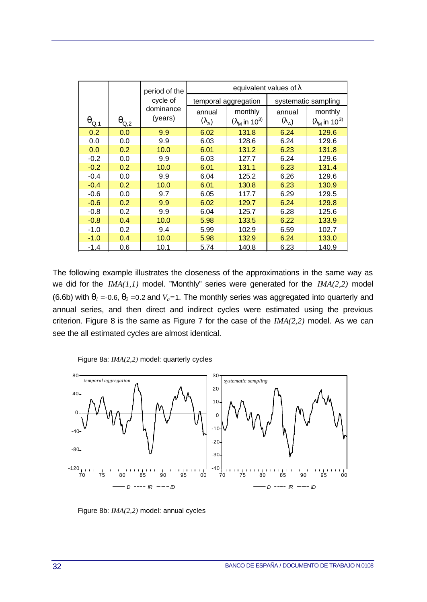|                            |                | period of the | equivalent values of $\lambda$ |                                  |               |                                  |
|----------------------------|----------------|---------------|--------------------------------|----------------------------------|---------------|----------------------------------|
|                            |                | cycle of      | temporal aggregation           |                                  |               | systematic sampling              |
|                            |                | dominance     | annual                         | monthly                          | annual        | monthly                          |
| $\theta_{\underline{Q,1}}$ | $\theta_{Q,2}$ | (years)       | $(\lambda_A)$                  | $(\lambda_M$ in 10 <sup>3)</sup> | $(\lambda_A)$ | $(\lambda_M$ in 10 <sup>3)</sup> |
| 0.2                        | 0.0            | 9.9           | 6.02                           | 131.8                            | 6.24          | 129.6                            |
| 0.0                        | 0.0            | 9.9           | 6.03                           | 128.6                            | 6.24          | 129.6                            |
| 0.0                        | 0.2            | 10.0          | 6.01                           | 131.2                            | 6.23          | 131.8                            |
| $-0.2$                     | 0.0            | 9.9           | 6.03                           | 127.7                            | 6.24          | 129.6                            |
| $-0.2$                     | 0.2            | 10.0          | 6.01                           | 131.1                            | 6.23          | 131.4                            |
| $-0.4$                     | 0.0            | 9.9           | 6.04                           | 125.2                            | 6.26          | 129.6                            |
| $-0.4$                     | 0.2            | 10.0          | 6.01                           | 130.8                            | 6.23          | 130.9                            |
| $-0.6$                     | 0.0            | 9.7           | 6.05                           | 117.7                            | 6.29          | 129.5                            |
| $-0.6$                     | 0.2            | 9.9           | 6.02                           | 129.7                            | 6.24          | 129.8                            |
| $-0.8$                     | 0.2            | 9.9           | 6.04                           | 125.7                            | 6.28          | 125.6                            |
| $-0.8$                     | 0.4            | 10.0          | 5.98                           | 133.5                            | 6.22          | 133.9                            |
| $-1.0$                     | 0.2            | 9.4           | 5.99                           | 102.9                            | 6.59          | 102.7                            |
| $-1.0$                     | 0.4            | 10.0          | 5.98                           | 132.9                            | 6.24          | 133.0                            |
| $-1.4$                     | 0.6            | 10.1          | 5.74                           | 140.8                            | 6.23          | 140.9                            |

The following example illustrates the closeness of the approximations in the same way as we did for the *IMA(1,1)* model. "Monthly" series were generated for the *IMA(2,2)* model (6.6b) with  $q_1$  =-0.6,  $q_2$  =0.2 and  $V_a$ =1. The monthly series was aggregated into quarterly and annual series, and then direct and indirect cycles were estimated using the previous criterion. Figure 8 is the same as Figure 7 for the case of the *IMA(2,2)* model. As we can see the all estimated cycles are almost identical.

Figure 8a: *IMA(2,2)* model: quarterly cycles



Figure 8b: *IMA(2,2)* model: annual cycles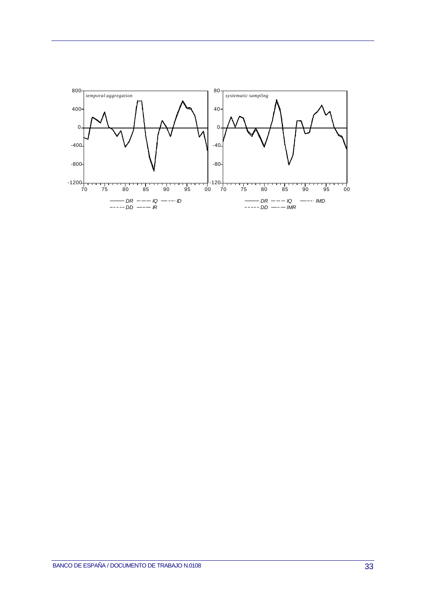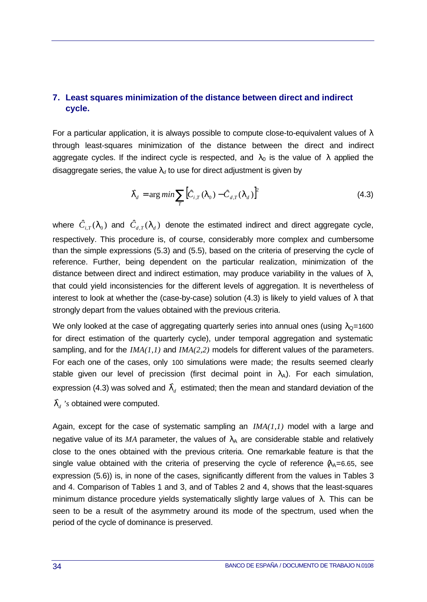## **7. Least squares minimization of the distance between direct and indirect cycle.**

For a particular application, it is always possible to compute close-to-equivalent values of  $\lambda$ through least-squares minimization of the distance between the direct and indirect aggregate cycles. If the indirect cycle is respected, and  $\lambda_0$  is the value of  $\lambda$  applied the disaggregate series, the value  $\lambda_d$  to use for direct adjustment is given by

$$
\boldsymbol{I}_d = \arg\min \sum_{T} \left[ \boldsymbol{C}_{i,T}(\boldsymbol{I}_0) - \boldsymbol{C}_{d,T}(\boldsymbol{I}_d) \right]^2 \tag{4.3}
$$

where  $\hat{C}_{i,T}(\bm{l}_0)$  and  $\hat{C}_{d,T}(\bm{l}_d)$  denote the estimated indirect and direct aggregate cycle, respectively. This procedure is, of course, considerably more complex and cumbersome than the simple expressions (5.3) and (5.5), based on the criteria of preserving the cycle of reference. Further, being dependent on the particular realization, minimization of the distance between direct and indirect estimation, may produce variability in the values of  $\lambda$ , that could yield inconsistencies for the different levels of aggregation. It is nevertheless of interest to look at whether the (case-by-case) solution (4.3) is likely to yield values of  $\lambda$  that strongly depart from the values obtained with the previous criteria.

We only looked at the case of aggregating quarterly series into annual ones (using  $\lambda_{\Omega}$ =1600 for direct estimation of the quarterly cycle), under temporal aggregation and systematic sampling, and for the *IMA(1,1)* and *IMA(2,2)* models for different values of the parameters. For each one of the cases, only 100 simulations were made; the results seemed clearly stable given our level of precission (first decimal point in  $\lambda_A$ ). For each simulation, expression (4.3) was solved and  $\boldsymbol{I}_d^{\phantom{\dag}}$  estimated; then the mean and standard deviation of the

 $\boldsymbol{I}_{d}$  's obtained were computed.

Again, except for the case of systematic sampling an *IMA(1,1)* model with a large and negative value of its  $MA$  parameter, the values of  $\lambda_A$  are considerable stable and relatively close to the ones obtained with the previous criteria. One remarkable feature is that the single value obtained with the criteria of preserving the cycle of reference  $\lambda_{A}=6.65$ , see expression (5.6)) is, in none of the cases, significantly different from the values in Tables 3 and 4. Comparison of Tables 1 and 3, and of Tables 2 and 4, shows that the least-squares minimum distance procedure yields systematically slightly large values of  $\lambda$ . This can be seen to be a result of the asymmetry around its mode of the spectrum, used when the period of the cycle of dominance is preserved.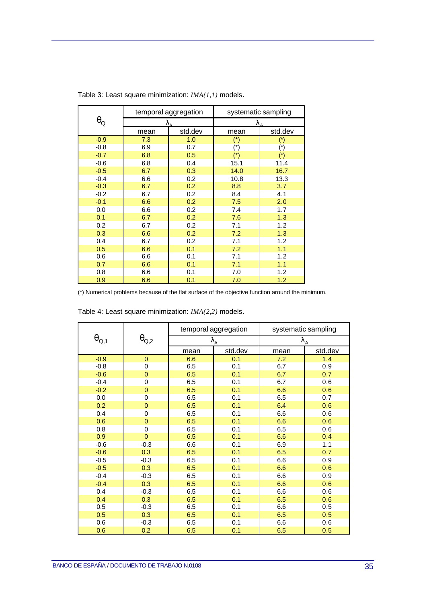|                       | temporal aggregation |         | systematic sampling   |                       |
|-----------------------|----------------------|---------|-----------------------|-----------------------|
| $\theta_{\mathsf{Q}}$ |                      |         |                       |                       |
|                       | mean                 | std.dev | mean                  | std.dev               |
| $-0.9$                | 7.3                  | 1.0     | $(*)$                 | $(\dot{r})$           |
| $-0.8$                | 6.9                  | 0.7     | $(\dot{\phantom{a}})$ | $(\dot{\mathcal{C}})$ |
| $-0.7$                | 6.8                  | 0.5     | $(*)$                 | $(*)$                 |
| $-0.6$                | 6.8                  | 0.4     | 15.1                  | 11.4                  |
| $-0.5$                | 6.7                  | 0.3     | 14.0                  | 16.7                  |
| $-0.4$                | 6.6                  | 0.2     | 10.8                  | 13.3                  |
| $-0.3$                | 6.7                  | 0.2     | 8.8                   | 3.7                   |
| $-0.2$                | 6.7                  | 0.2     | 8.4                   | 4.1                   |
| $-0.1$                | 6.6                  | 0.2     | 7.5                   | 2.0                   |
| 0.0                   | 6.6                  | 0.2     | 7.4                   | 1.7                   |
| 0.1                   | 6.7                  | 0.2     | 7.6                   | 1.3                   |
| 0.2                   | 6.7                  | 0.2     | 7.1                   | 1.2                   |
| 0.3                   | 6.6                  | 0.2     | 7.2                   | 1.3                   |
| 0.4                   | 6.7                  | 0.2     | 7.1                   | 1.2                   |
| 0.5                   | 6.6                  | 0.1     | 7.2                   | 1.1                   |
| 0.6                   | 6.6                  | 0.1     | 7.1                   | 1.2                   |
| 0.7                   | 6.6                  | 0.1     | 7.1                   | 1.1                   |
| 0.8                   | 6.6                  | 0.1     | 7.0                   | 1.2                   |
| 0.9                   | 6.6                  | 0.1     | 7.0                   | 1.2                   |

Table 3: Least square minimization: *IMA(1,1)* models.

(\*) Numerical problems because of the flat surface of the objective function around the minimum.

|                                    | $\theta_{\mathrm{Q,2}}$ | temporal aggregation   |         | systematic sampling |         |
|------------------------------------|-------------------------|------------------------|---------|---------------------|---------|
| $\boldsymbol{\theta}_{\text{Q,1}}$ |                         | $\lambda_{\mathsf{A}}$ |         | $\lambda_{\rm A}$   |         |
|                                    |                         | mean                   | std.dev | mean                | std.dev |
| $-0.9$                             | $\mathbf{0}$            | 6.6                    | 0.1     | 7.2                 | 1.4     |
| $-0.8$                             | 0                       | 6.5                    | 0.1     | 6.7                 | 0.9     |
| $-0.6$                             | $\overline{0}$          | 6.5                    | 0.1     | 6.7                 | 0.7     |
| $-0.4$                             | 0                       | 6.5                    | 0.1     | 6.7                 | 0.6     |
| $-0.2$                             | $\mathbf{0}$            | 6.5                    | 0.1     | 6.6                 | 0.6     |
| 0.0                                | 0                       | 6.5                    | 0.1     | 6.5                 | 0.7     |
| 0.2                                | 0                       | 6.5                    | 0.1     | 6.4                 | 0.6     |
| 0.4                                | $\mathsf 0$             | 6.5                    | 0.1     | 6.6                 | 0.6     |
| 0.6                                | $\overline{0}$          | 6.5                    | 0.1     | 6.6                 | 0.6     |
| 0.8                                | $\mathbf 0$             | 6.5                    | 0.1     | 6.5                 | 0.6     |
| 0.9                                | $\overline{0}$          | 6.5                    | 0.1     | 6.6                 | 0.4     |
| $-0.6$                             | $-0.3$                  | 6.6                    | 0.1     | 6.9                 | 1.1     |
| $-0.6$                             | 0.3                     | 6.5                    | 0.1     | 6.5                 | 0.7     |
| $-0.5$                             | $-0.3$                  | 6.5                    | 0.1     | 6.6                 | 0.9     |
| $-0.5$                             | 0.3                     | 6.5                    | 0.1     | 6.6                 | 0.6     |
| $-0.4$                             | $-0.3$                  | 6.5                    | 0.1     | 6.6                 | 0.9     |
| $-0.4$                             | 0.3                     | 6.5                    | 0.1     | 6.6                 | 0.6     |
| 0.4                                | $-0.3$                  | 6.5                    | 0.1     | 6.6                 | 0.6     |
| 0.4                                | 0.3                     | 6.5                    | 0.1     | 6.5                 | 0.6     |
| 0.5                                | $-0.3$                  | 6.5                    | 0.1     | 6.6                 | 0.5     |
| 0.5                                | 0.3                     | 6.5                    | 0.1     | 6.5                 | 0.5     |
| 0.6                                | $-0.3$                  | 6.5                    | 0.1     | 6.6                 | 0.6     |
| 0.6                                | 0.2                     | 6.5                    | 0.1     | 6.5                 | 0.5     |

| Table 4: Least square minimization: IMA(2,2) models. |  |  |
|------------------------------------------------------|--|--|
|------------------------------------------------------|--|--|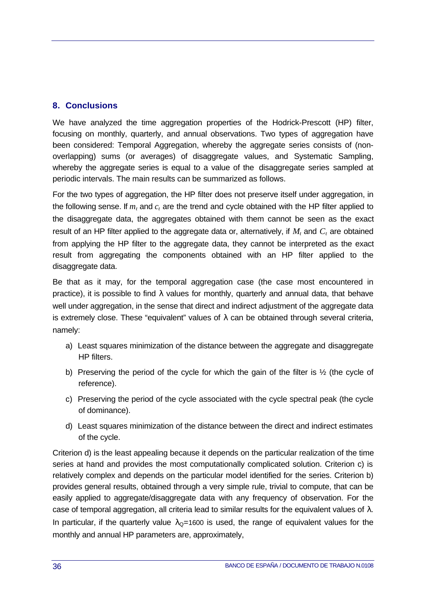## **8. Conclusions**

We have analyzed the time aggregation properties of the Hodrick-Prescott (HP) filter, focusing on monthly, quarterly, and annual observations. Two types of aggregation have been considered: Temporal Aggregation, whereby the aggregate series consists of (nonoverlapping) sums (or averages) of disaggregate values, and Systematic Sampling, whereby the aggregate series is equal to a value of the disaggregate series sampled at periodic intervals. The main results can be summarized as follows.

For the two types of aggregation, the HP filter does not preserve itself under aggregation, in the following sense. If  $m_t$  and  $c_t$  are the trend and cycle obtained with the HP filter applied to the disaggregate data, the aggregates obtained with them cannot be seen as the exact result of an HP filter applied to the aggregate data or, alternatively, if *Mt* and *Ct* are obtained from applying the HP filter to the aggregate data, they cannot be interpreted as the exact result from aggregating the components obtained with an HP filter applied to the disaggregate data.

Be that as it may, for the temporal aggregation case (the case most encountered in practice), it is possible to find  $\lambda$  values for monthly, quarterly and annual data, that behave well under aggregation, in the sense that direct and indirect adjustment of the aggregate data is extremely close. These "equivalent" values of  $\lambda$  can be obtained through several criteria, namely:

- a) Least squares minimization of the distance between the aggregate and disaggregate HP filters.
- b) Preserving the period of the cycle for which the gain of the filter is ½ (the cycle of reference).
- c) Preserving the period of the cycle associated with the cycle spectral peak (the cycle of dominance).
- d) Least squares minimization of the distance between the direct and indirect estimates of the cycle.

Criterion d) is the least appealing because it depends on the particular realization of the time series at hand and provides the most computationally complicated solution. Criterion c) is relatively complex and depends on the particular model identified for the series. Criterion b) provides general results, obtained through a very simple rule, trivial to compute, that can be easily applied to aggregate/disaggregate data with any frequency of observation. For the case of temporal aggregation, all criteria lead to similar results for the equivalent values of  $\lambda$ . In particular, if the quarterly value  $\lambda_{\Omega}$ =1600 is used, the range of equivalent values for the monthly and annual HP parameters are, approximately,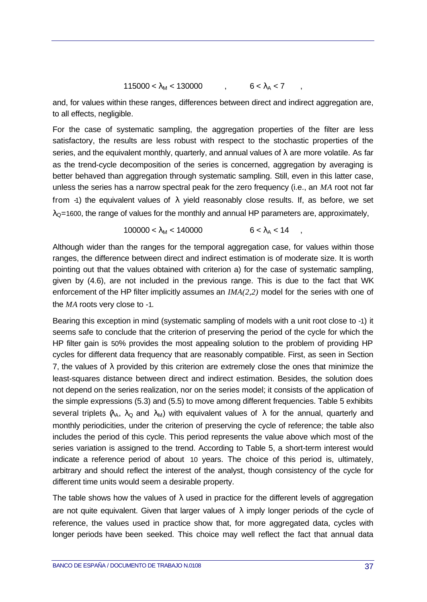$$
115000 < \lambda_{M} < 130000 \qquad , \qquad 6 < \lambda_{A} < 7 \qquad ,
$$

and, for values within these ranges, differences between direct and indirect aggregation are, to all effects, negligible.

For the case of systematic sampling, the aggregation properties of the filter are less satisfactory, the results are less robust with respect to the stochastic properties of the series, and the equivalent monthly, quarterly, and annual values of  $\lambda$  are more volatile. As far as the trend-cycle decomposition of the series is concerned, aggregation by averaging is better behaved than aggregation through systematic sampling. Still, even in this latter case, unless the series has a narrow spectral peak for the zero frequency (i.e., an *MA* root not far from -1) the equivalent values of  $\lambda$  yield reasonably close results. If, as before, we set  $\lambda_{\Omega}$ =1600, the range of values for the monthly and annual HP parameters are, approximately,

$$
100000 < \lambda_M < 140000 \quad 6 < \lambda_A < 14 \quad ,
$$

Although wider than the ranges for the temporal aggregation case, for values within those ranges, the difference between direct and indirect estimation is of moderate size. It is worth pointing out that the values obtained with criterion a) for the case of systematic sampling, given by (4.6), are not included in the previous range. This is due to the fact that WK enforcement of the HP filter implicitly assumes an *IMA(2,2)* model for the series with one of the *MA* roots very close to -1*.*

Bearing this exception in mind (systematic sampling of models with a unit root close to -1) it seems safe to conclude that the criterion of preserving the period of the cycle for which the HP filter gain is 50% provides the most appealing solution to the problem of providing HP cycles for different data frequency that are reasonably compatible. First, as seen in Section 7, the values of  $\lambda$  provided by this criterion are extremely close the ones that minimize the least-squares distance between direct and indirect estimation. Besides, the solution does not depend on the series realization, nor on the series model; it consists of the application of the simple expressions (5.3) and (5.5) to move among different frequencies. Table 5 exhibits several triplets  $\lambda_A$ ,  $\lambda_Q$  and  $\lambda_M$ ) with equivalent values of  $\lambda$  for the annual, quarterly and monthly periodicities, under the criterion of preserving the cycle of reference; the table also includes the period of this cycle. This period represents the value above which most of the series variation is assigned to the trend. According to Table 5, a short-term interest would indicate a reference period of about 10 years. The choice of this period is, ultimately, arbitrary and should reflect the interest of the analyst, though consistency of the cycle for different time units would seem a desirable property.

The table shows how the values of  $\lambda$  used in practice for the different levels of aggregation are not quite equivalent. Given that larger values of  $\lambda$  imply longer periods of the cycle of reference, the values used in practice show that, for more aggregated data, cycles with longer periods have been seeked. This choice may well reflect the fact that annual data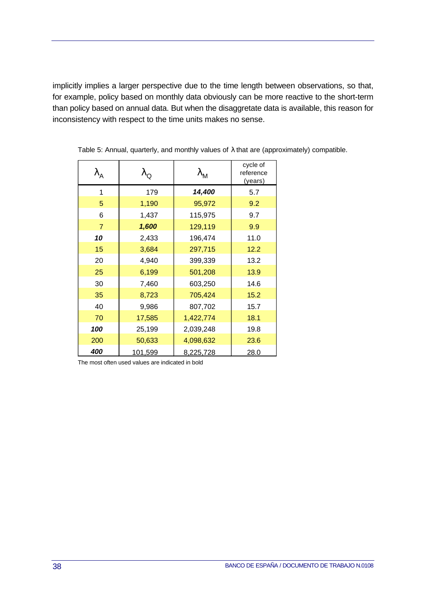implicitly implies a larger perspective due to the time length between observations, so that, for example, policy based on monthly data obviously can be more reactive to the short-term than policy based on annual data. But when the disaggretate data is available, this reason for inconsistency with respect to the time units makes no sense.

| $\lambda_{\mathsf{A}}$ | $\lambda_{\mathsf{Q}}$ | $\lambda_{\sf M}$ | cycle of<br>reference<br>(years) |
|------------------------|------------------------|-------------------|----------------------------------|
| 1                      | 179                    | 14,400            | 5.7                              |
| 5                      | 1,190                  | 95,972            | 9.2                              |
| 6                      | 1,437                  | 115,975           | 9.7                              |
| $\overline{7}$         | 1,600                  | 129,119           | 9.9                              |
| 10                     | 2,433                  | 196,474           | 11.0                             |
| 15                     | 3,684                  | 297,715           | 12.2                             |
| 20                     | 4,940                  | 399,339           | 13.2                             |
| 25                     | 6,199                  | 501,208           | 13.9                             |
| 30                     | 7,460                  | 603,250           | 14.6                             |
| 35                     | 8,723                  | 705,424           | 15.2                             |
| 40                     | 9,986                  | 807,702           | 15.7                             |
| 70                     | 17,585                 | 1,422,774         | 18.1                             |
| 100                    | 25,199                 | 2,039,248         | 19.8                             |
| 200                    | 50,633                 | 4,098,632         | 23.6                             |
| 400                    | 101,599                | 8,225,728         | 28.0                             |

Table 5: Annual, quarterly, and monthly values of λ that are (approximately) compatible.

The most often used values are indicated in bold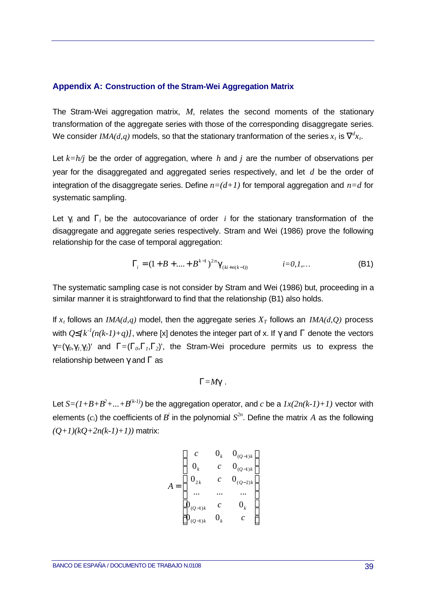#### **Appendix A: Construction of the Stram-Wei Aggregation Matrix**

The Stram-Wei aggregation matrix, *M*, relates the second moments of the stationary transformation of the aggregate series with those of the corresponding disaggregate series. We consider  $\mathit{IMA}(d,q)$  models, so that the stationary tranformation of the series  $x_t$  is  $\tilde{\mathbf{N}}^t x_t.$ 

Let *k=h/j* be the order of aggregation, where *h* and *j* are the number of observations per year for the disaggregated and aggregated series respectively, and let *d* be the order of integration of the disaggregate series. Define  $n=(d+1)$  for temporal aggregation and  $n=d$  for systematic sampling.

Let  $g_i$  and  $G_i$  be the autocovariance of order *i* for the stationary transformation of the disaggregate and aggregate series respectively. Stram and Wei (1986) prove the following relationship for the case of temporal aggregation:

$$
\Gamma_i = (1 + B + \dots + B^{k-1})^{2n} \mathbf{g}_{(ki+n(k-1))} \qquad i = 0, 1, \dots
$$
 (B1)

The systematic sampling case is not consider by Stram and Wei (1986) but, proceeding in a similar manner it is straightforward to find that the relationship (B1) also holds.

If  $x_t$  follows an *IMA(d,q)* model, then the aggregate series  $X_T$  follows an *IMA(d,Q)* process with  $Q\mathbf{E}[k^{-1}(n(k-1)+q)]$ , where [x] denotes the integer part of x. If g and G denote the vectors  $g=(g_0, g_1, g_2)$  and  $G=(G_0, G_1, G_2)$ , the Stram-Wei procedure permits us to express the relationship between *g* and *G* as

$$
G = Mg
$$
 .

Let  $S = (I + B + B^2 + ... + B^{(k-I)})$  be the aggregation operator, and *c* be a  $Ix(2n(k-I)+I)$  vector with elements  $(c_i)$  the coefficients of  $B^i$  in the polynomial  $S^{2n}$ . Define the matrix  $A$  as the following  $(Q+1)(kQ+2n(k-1)+1)$ ) matrix:

$$
A = \begin{bmatrix} c & 0_k & 0_{(Q-1)k} \\ 0_k & c & 0_{(Q-1)k} \\ 0_{2k} & c & 0_{(Q-2)k} \\ \dots & \dots & \dots \\ 0_{(Q-1)k} & c & 0_k \\ 0_{(Q-1)k} & 0_k & c \end{bmatrix}
$$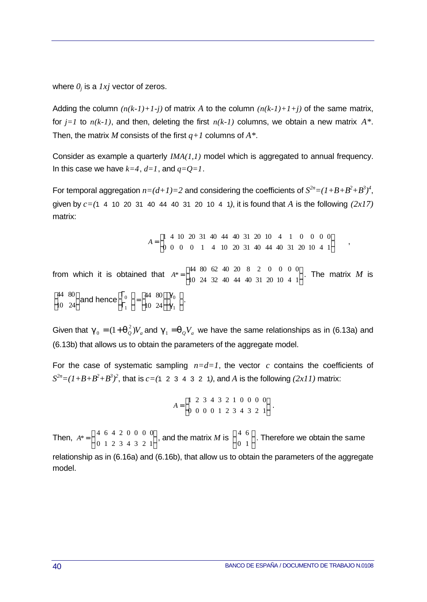where *0j* is a *1xj* vector of zeros.

Adding the column  $(n(k-1)+1-j)$  of matrix A to the column  $(n(k-1)+1+j)$  of the same matrix, for *j=1* to *n(k-1)*, and then, deleting the first *n(k-1)* columns, we obtain a new matrix *A\**. Then, the matrix *M* consists of the first *q+1* columns of *A\**.

Consider as example a quarterly *IMA(1,1)* model which is aggregated to annual frequency. In this case we have  $k=4$ ,  $d=1$ , and  $q=Q=1$ .

For temporal aggregation  $n = (d+1)=2$  and considering the coefficients of  $S^{2n} = (1+B+B^2+B^3)^4$ , given by *c=(*1 4 10 20 31 40 44 40 31 20 10 4 1*)*, it is found that *A* is the following *(2x17)* matrix:

> $\overline{\phantom{a}}$  $\overline{\phantom{a}}$  $\overline{\phantom{a}}$  $=\begin{bmatrix} 1 & 4 & 10 & 20 & 31 & 40 & 44 & 40 & 31 & 20 & 10 & 4 & 1 & 0 & 0 & 0 & 0 \\ 0 & 0 & 0 & 0 & 1 & 4 & 10 & 20 & 31 & 40 & 44 & 40 & 31 & 20 & 10 & 4 & 1 \end{bmatrix}$   $A = \begin{bmatrix} 1 & 4 & 10 & 20 & 31 & 40 & 44 & 40 & 31 & 20 & 10 & 4 & 1 & 0 & 0 & 0 & 0 \\ 0 & 0 & 0 & 0 & 0 & 1 & 10 & 20 & 21 & 10 & 11 & 10 & 21 & 20 & 10 & 1 & 1 \end{bmatrix}$

from which it is obtained that  $A^* = \begin{bmatrix} 1 & 0 & 0 & 0 & 0 & 0 & 0 \\ 10 & 24 & 32 & 40 & 44 & 40 & 31 & 20 & 10 & 4 & 1 \end{bmatrix}$  $\overline{\phantom{a}}$  $\overline{\phantom{a}}$  $=\begin{bmatrix} 44 & 80 & 62 & 40 & 20 & 8 & 2 & 0 & 0 & 0 & 0 \\ 10 & 24 & 32 & 40 & 44 & 40 & 31 & 20 & 10 & 4 & 1 \end{bmatrix}$   $A^* = \begin{bmatrix} 44 & 80 & 62 & 40 & 20 & 8 & 2 & 0 & 0 & 0 \\ 40 & 24 & 32 & 40 & 44 & 40 & 34 & 36 & 48 & 4 \end{bmatrix}$ . The matrix M is  $\overline{\phantom{a}}$  $\overline{\phantom{a}}$  $\overline{\phantom{a}}$ Ŀ  $\begin{bmatrix} 44 & 80 \\ 10 & 24 \end{bmatrix}$  and hence  $\begin{bmatrix} \Gamma_0 \\ \Gamma_1 \end{bmatrix} = \begin{bmatrix} 44 & 80 \\ 10 & 24 \end{bmatrix} \begin{bmatrix} \mathbf{g}_0 \\ \mathbf{g}_1 \end{bmatrix}$  $\overline{\phantom{a}}$ L I.  $\overline{\phantom{a}}$  $\overline{\phantom{a}}$  $\overline{\phantom{a}}$  $=$  $\overline{\phantom{a}}$  $\overline{\phantom{a}}$ L Γ Γ *g*  $\bm{g}_0 \, \, \Big]_ .$ 

Given that  $\bm{g}_0 = (1 + \bm{q}_Q^2) V_a$  and  $\bm{g}_1 = \bm{q}_Q V_a$  we have the same relationships as in (6.13a) and (6.13b) that allows us to obtain the parameters of the aggregate model.

For the case of systematic sampling  $n=d=1$ , the vector c contains the coefficients of  $S^{2n} = (I + B + B^2 + B^3)^2$ , that is  $c = (1 \ 2 \ 3 \ 4 \ 3 \ 2 \ 1)$ , and *A* is the following  $(2xI1)$  matrix:

$$
A = \begin{bmatrix} 1 & 2 & 3 & 4 & 3 & 2 & 1 & 0 & 0 & 0 & 0 \\ 0 & 0 & 0 & 0 & 1 & 2 & 3 & 4 & 3 & 2 & 1 \end{bmatrix}.
$$

Then,  $A^* = \begin{bmatrix} 7 & 0 & 7 & 2 & 0 & 0 & 0 \\ 0 & 1 & 2 & 3 & 4 & 3 & 2 & 1 \end{bmatrix}$  $\overline{\phantom{a}}$  $\overline{\phantom{a}}$  $=\begin{pmatrix} 4 & 6 & 4 & 2 & 0 & 0 & 0 & 0 \\ 0 & 1 & 2 & 3 & 4 & 3 & 2 & 1 \end{pmatrix}$  $\overline{0}$   $A^* = \left[ \begin{array}{cccccc} 4 & 6 & 4 & 2 & 0 & 0 & 0 & 0 \\ 0 & 1 & 2 & 3 & 4 & 3 & 2 & 1 \end{array} \right]$ , and the matrix *M* is  $\left[ \begin{array}{cc} 4 & 6 \\ 0 & 1 & 0 \end{array} \right]$ I  $\overline{\mathsf{L}}$ L  $\begin{bmatrix} 4 & 6 \\ 0 & 1 \end{bmatrix}$ . Therefore we obtain the same relationship as in (6.16a) and (6.16b), that allow us to obtain the parameters of the aggregate model.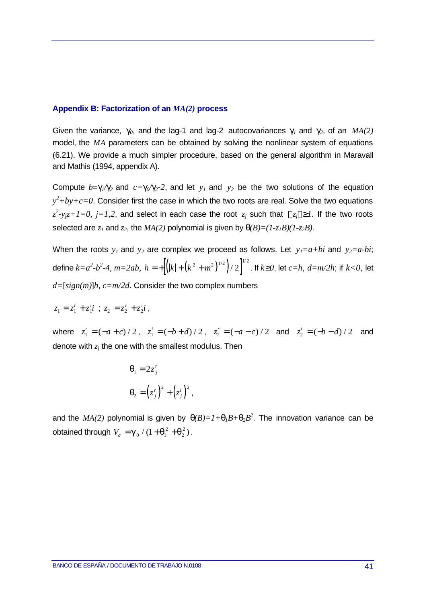#### **Appendix B: Factorization of an** *MA(2)* **process**

Given the variance,  $g_0$ , and the lag-1 and lag-2 autocovariances  $g_1$  and  $g_2$ , of an  $MA(2)$ model, the *MA* parameters can be obtained by solving the nonlinear system of equations (6.21). We provide a much simpler procedure, based on the general algorithm in Maravall and Mathis (1994, appendix A).

Compute  $b = g_1/g_2$  and  $c = g_0/g_2$ -2, and let  $y_1$  and  $y_2$  be the two solutions of the equation  $y^2 + by + c = 0$ . Consider first the case in which the two roots are real. Solve the two equations  $z^2$ -y<sub>j</sub> $z$ +1=0, j=1,2, and select in each case the root  $z_j$  such that  $|z_j|$  <sup>3</sup>1. If the two roots selected are  $z_1$  and  $z_2$ , the  $MA(2)$  polynomial is given by  $q(B)=(1-z_1B)(1-z_2B)$ .

When the roots  $y_1$  and  $y_2$  are complex we proceed as follows. Let  $y_1 = a + bi$  and  $y_2 = a - bi$ ; define  $k=a^2-b^2-4$ ,  $m=2ab$ ,  $h = +\left[\left(|k|+\left(k^2+m^2\right)^{1/2}\right)/2\right]^{1/2}$ . If  $k^{\cdot3}0$ , let  $c=h$ ,  $d=m/2h$ ; if  $k<0$ , let *d=*[*sign(m)*]*h*, *c=m/2d*. Consider the two complex numbers

$$
z_1 = z_1^r + z_1^i i \; ; \; z_2 = z_2^r + z_2^i i \; ,
$$

where  $z_1^r = (-a+c)/2$ ,  $z_1^i = (-b+d)/2$ ,  $z_2^r = (-a-c)/2$  and  $z_2^i = (-b-d)/2$  and denote with *zj* the one with the smallest modulus. Then

$$
\mathbf{q}_1 = 2z_j^r
$$

$$
\mathbf{q}_2 = (z_j^r)^2 + (z_j^i)^2
$$

and the  $MA(2)$  polynomial is given by  $q(B)=I+q_I B+q_2 B^2$ . The innovation variance can be obtained through  $V_a = g_0 / (1 + q_1^2 + q_2^2)$ 2  $/(1 + \mathbf{q}_1^2 + \mathbf{q}_2^2)$ .

,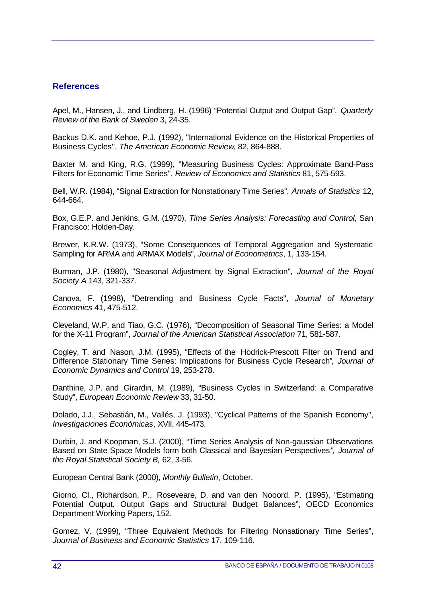## **References**

Apel, M., Hansen, J., and Lindberg, H. (1996) "Potential Output and Output Gap", *Quarterly Review of the Bank of Sweden* 3, 24-35.

Backus D.K. and Kehoe, P.J. (1992), ''International Evidence on the Historical Properties of Business Cycles'', *The American Economic Review*, 82, 864-888.

Baxter M. and King, R.G. (1999), ''Measuring Business Cycles: Approximate Band-Pass Filters for Economic Time Series'', *Review of Economics and Statistics* 81, 575-593.

Bell, W.R. (1984), "Signal Extraction for Nonstationary Time Series", *Annals of Statistics* 12, 644-664.

Box, G.E.P. and Jenkins, G.M. (1970), *Time Series Analysis: Forecasting and Control*, San Francisco: Holden-Day.

Brewer, K.R.W. (1973), "Some Consequences of Temporal Aggregation and Systematic Sampling for ARMA and ARMAX Models", *Journal of Econometrics*, 1, 133-154.

Burman, J.P. (1980), ''Seasonal Adjustment by Signal Extraction''*, Journal of the Royal Society A* 143, 321-337.

Canova, F. (1998), ''Detrending and Business Cycle Facts'', *Journal of Monetary Economics* 41, 475-512.

Cleveland, W.P. and Tiao, G.C. (1976), "Decomposition of Seasonal Time Series: a Model for the X-11 Program", *Journal of the American Statistical Association* 71, 581-587.

Cogley, T. and Nason, J.M. (1995), "Effects of the Hodrick-Prescott Filter on Trend and Difference Stationary Time Series: Implications for Business Cycle Research*", Journal of Economic Dynamics and Control* 19, 253-278.

Danthine, J.P. and Girardin, M. (1989), "Business Cycles in Switzerland: a Comparative Study", *European Economic Review* 33, 31-50.

Dolado, J.J., Sebastián, M., Vallés, J. (1993), ''Cyclical Patterns of the Spanish Economy'', *Investigaciones Económicas*, XVII, 445-473.

Durbin, J. and Koopman, S.J. (2000), "Time Series Analysis of Non-gaussian Observations Based on State Space Models form both Classical and Bayesian Perspectives*", Journal of the Royal Statistical Society B,* 62, 3-56.

European Central Bank (2000), *Monthly Bulletin*, October.

Giorno, Cl., Richardson, P., Roseveare, D. and van den Nooord, P. (1995), "Estimating Potential Output, Output Gaps and Structural Budget Balances", OECD Economics Department Working Papers, 152.

Gomez, V. (1999), "Three Equivalent Methods for Filtering Nonsationary Time Series", *Journal of Business and Economic Statistics* 17, 109-116.